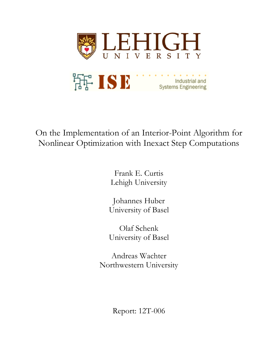

On the Implementation of an Interior-Point Algorithm for Nonlinear Optimization with Inexact Step Computations

> Frank E. Curtis Lehigh University

Johannes Huber University of Basel

Olaf Schenk University of Basel

Andreas Wachter Northwestern University

Report: 12T-006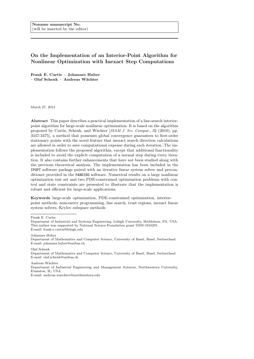# On the Implementation of an Interior-Point Algorithm for Nonlinear Optimization with Inexact Step Computations

Frank E. Curtis · Johannes Huber · Olaf Schenk · Andreas W¨achter

March 27, 2012

Abstract This paper describes a practical implementation of a line-search interiorpoint algorithm for large-scale nonlinear optimization. It is based on the algorithm proposed by Curtis, Schenk, and Wächter [SIAM J. Sci. Comput., 32 (2010), pp. 3447-3475], a method that possesses global convergence guarantees to first-order stationary points with the novel feature that inexact search direction calculations are allowed in order to save computational expense during each iteration. The implementation follows the proposed algorithm, except that additional functionality is included to avoid the explicit computation of a normal step during every iteration. It also contains further enhancements that have not been studied along with the previous theoretical analysis. The implementation has been included in the IPOPT software package paired with an iterative linear system solver and preconditioner provided in the PARDISO software. Numerical results on a large nonlinear optimization test set and two PDE-constrained optimization problems with control and state constraints are presented to illustrate that the implementation is robust and efficient for large-scale applications.

Keywords large-scale optimization, PDE-constrained optimization, interiorpoint methods, nonconvex programming, line search, trust regions, inexact linear system solvers, Krylov subspace methods

Frank E. Curtis

Johannes Huber

Olaf Schenk Department of Mathematics and Computer Science, University of Basel, Basel, Switzerland. E-mail: olaf.schenk@unibas.ch

Andreas Wächter

Department of Industrial Engineering and Management Sciences, Northwestern University, Evanston, IL, USA.

E-mail: andreas.waechter@northwestern.edu

Department of Industrial and Systems Engineering, Lehigh University, Bethlehem, PA, USA. This author was supported by National Science Foundation grant DMS-1016291. E-mail: frank.e.curtis@lehigh.edu

Department of Mathematics and Computer Science, University of Basel, Basel, Switzerland. E-mail: johannes.huber@unibas.ch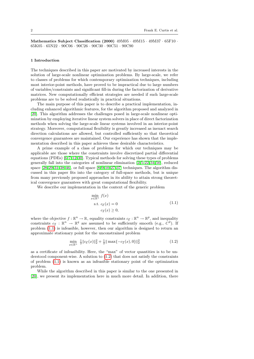Mathematics Subject Classification (2000) 49M05 · 49M15 · 49M37 · 65F10 · 65K05 · 65N22 · 90C06 · 90C26 · 90C30 · 90C51 · 90C90

### 1 Introduction

The techniques described in this paper are motivated by increased interests in the solution of large-scale nonlinear optimization problems. By large-scale, we refer to classes of problems for which contemporary optimization techniques, including most interior-point methods, have proved to be impractical due to large numbers of variables/constraints and significant fill-in during the factorization of derivative matrices. New computationally efficient strategies are needed if such large-scale problems are to be solved realistically in practical situations.

The main purpose of this paper is to describe a practical implementation, including enhanced algorithmic features, for the algorithm proposed and analyzed in [\[20\]](#page-26-0). This algorithm addresses the challenges posed in large-scale nonlinear optimization by employing iterative linear system solvers in place of direct factorization methods when solving the large-scale linear systems involved in an interior-point strategy. Moreover, computational flexibility is greatly increased as inexact search direction calculations are allowed, but controlled sufficiently so that theoretical convergence guarantees are maintained. Our experience has shown that the implementation described in this paper achieves these desirable characteristics.

A prime example of a class of problems for which our techniques may be applicable are those where the constraints involve discretized partial differential equations (PDEs) [\[6,](#page-25-0) [7,](#page-25-1) [12,](#page-25-2) [30\]](#page-26-1). Typical methods for solving these types of problems generally fall into the categories of nonlinear elimination [\[2,](#page-25-3) [5,](#page-25-4) [22,](#page-26-2) [34,](#page-26-3)[50\]](#page-27-0), reduced space  $[28, 29, 31, 38, 46]$  $[28, 29, 31, 38, 46]$  $[28, 29, 31, 38, 46]$  $[28, 29, 31, 38, 46]$  $[28, 29, 31, 38, 46]$  $[28, 29, 31, 38, 46]$ , or full space  $[8, 9, 10, 27, 37]$  $[8, 9, 10, 27, 37]$  $[8, 9, 10, 27, 37]$  $[8, 9, 10, 27, 37]$  $[8, 9, 10, 27, 37]$  $[8, 9, 10, 27, 37]$  techniques. The algorithm discussed in this paper fits into the category of full-space methods, but is unique from many previously proposed approaches in its ability to attain strong theoretical convergence guarantees with great computational flexibility.

We describe our implementation in the context of the generic problem

<span id="page-2-1"></span><span id="page-2-0"></span>
$$
\min_{x \in \mathbb{R}^n} f(x)
$$
  
s.t.  $c_{\mathcal{E}}(x) = 0$   
 $c_{\mathcal{I}}(x) \ge 0,$  (1.1)

where the objective  $f : \mathbb{R}^n \to \mathbb{R}$ , equality constraints  $c_{\mathcal{E}} : \mathbb{R}^n \to \mathbb{R}^p$ , and inequality constraints  $c_{\mathcal{I}} : \mathbb{R}^n \to \mathbb{R}^q$  are assumed to be sufficiently smooth (e.g.,  $C^2$ ). If problem [\(1.1\)](#page-2-0) is infeasible, however, then our algorithm is designed to return an approximate stationary point for the unconstrained problem

$$
\min_{x \in \mathbb{R}^n} \frac{1}{2} \| c_{\mathcal{E}}(x) \|_2^2 + \frac{1}{2} \| \max\{-c_{\mathcal{I}}(x), 0\} \|_2^2 \tag{1.2}
$$

as a certificate of infeasibility. Here, the "max" of vector quantities is to be understood component-wise. A solution to [\(1.2\)](#page-2-1) that does not satisfy the constraints of problem [\(1.1\)](#page-2-0) is known as an infeasible stationary point of the optimization problem.

While the algorithm described in this paper is similar to the one presented in [\[20\]](#page-26-0), we present its implementation here in much more detail. In addition, there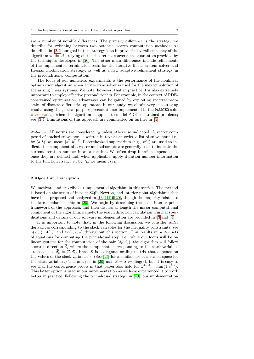are a number of notable differences. The primary difference is the strategy we describe for switching between two potential search computation methods. As described in §[2.2,](#page-5-0) our goal in this strategy is to improve the overall efficiency of the algorithm while still relying on the theoretical convergence guarantees provided by the techniques developed in [\[20\]](#page-26-0). The other main differences include refinements of the implemented termination tests for the iterative linear system solver and Hessian modification strategy, as well as a new adaptive refinement strategy in the preconditioner computation.

The focus of our numerical experiments is the performance of the nonlinear optimization algorithm when an iterative solver is used for the inexact solution of the arising linear systems. We note, however, that in practice it is also extremely important to employ effective preconditioners. For example, in the context of PDEconstrained optimization, advantages can be gained by exploiting spectral properties of discrete differential operators. In our study, we obtain very encouraging results using the general-purpose preconditioner implemented in the PARDISO software package when the algorithm is applied to model PDE-constrained problems; see §[3.4.](#page-14-0) Limitations of this approach are commented on further in §[5.](#page-24-0)

Notation. All norms are considered  $\ell_2$  unless otherwise indicated. A vector composed of stacked subvectors is written in text as an ordered list of subvectors; i.e., by  $(a, b)$ , we mean  $[a^T b^T]^T$ . Parenthesized superscripts (e.g.,  $x^{(i)}$ ) are used to indicate the component of a vector and subscripts are generally used to indicate the current iteration number in an algorithm. We often drop function dependencies once they are defined and, when applicable, apply iteration number information to the function itself; i.e., by  $f_k$ , we mean  $f(x_k)$ .

### <span id="page-3-0"></span>2 Algorithm Description

We motivate and describe our implemented algorithm in this section. The method is based on the series of inexact SQP, Newton, and interior-point algorithms that have been proposed and analyzed in [\[13,](#page-25-8) [14,](#page-25-9) [19,](#page-26-10)[20\]](#page-26-0), though the majority relates to the latest enhancements in [\[20\]](#page-26-0). We begin by describing the basic interior-point framework of the approach, and then discuss at length the major computational component of the algorithm: namely, the search direction calculation. Further specifications and details of our software implementation are provided in §[3](#page-10-0) and §[4.](#page-15-0)

It is important to note that, in the following discussion, we consider scaled derivatives corresponding to the slack variables for the inequality constraints; see  $\gamma(z; \mu)$ ,  $A(z)$ , and  $W(z, \lambda; \mu)$  throughout this section. This results in scaled sets of equations for computing the primal-dual step; i.e., while our focus will be on linear systems for the computation of the pair  $(d_k, \delta_k)$ , the algorithm will follow a search direction  $d_k$  where the components corresponding to the slack variables are scaled as  $\tilde{d}_k^s = \Sigma_k d_k^s$ . Here,  $\Sigma$  is a diagonal scaling matrix that depends on the values of the slack variables s. (See [\[15\]](#page-25-10) for a similar use of a scaled space for the slack variables.) The analysis in [\[20\]](#page-26-0) uses  $\Sigma = S := diag(s)$ , but it is easy to see that the convergence proofs in that paper also hold for  $\Sigma^{(i,i)} = \min\{1, s^{(i)}\}.$ This latter option is used in our implementation as we have experienced it to work better in practice. Following the primal-dual strategy in [\[49\]](#page-27-2), our implementation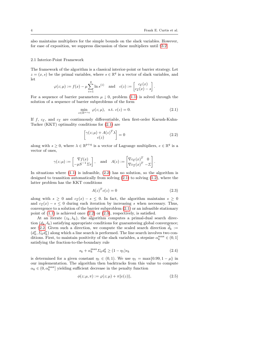<span id="page-4-0"></span>.

also maintains multipliers for the simple bounds on the slack variables. However, for ease of exposition, we suppress discussion of these multipliers until §[3.2.](#page-12-0)

# 2.1 Interior-Point Framework

The framework of the algorithm is a classical interior-point or barrier strategy. Let  $z = (x, s)$  be the primal variables, where  $s \in \mathbb{R}^q$  is a vector of slack variables, and let

$$
\varphi(z;\mu) := f(x) - \mu \sum_{i=1}^{q} \ln s^{(i)} \quad \text{and} \quad c(z) := \begin{bmatrix} c_{\mathcal{E}}(x) \\ c_{\mathcal{I}}(x) - s \end{bmatrix}
$$

For a sequence of barrier parameters  $\mu \downarrow 0$ , problem [\(1.1\)](#page-2-0) is solved through the solution of a sequence of barrier subproblems of the form

$$
\min_{z \in \mathbb{R}^{n+q}} \varphi(z;\mu), \quad \text{s.t.} \ c(z) = 0. \tag{2.1}
$$

If f,  $c_{\mathcal{E}}$ , and  $c_{\mathcal{T}}$  are continuously differentiable, then first-order Karush-Kuhn-Tucker (KKT) optimality conditions for [\(2.1\)](#page-4-0) are

<span id="page-4-1"></span>
$$
\begin{bmatrix} \gamma(z;\mu) + A(z)^T \lambda \\ c(z) \end{bmatrix} = 0 \tag{2.2}
$$

along with  $s \geq 0$ , where  $\lambda \in \mathbb{R}^{p+q}$  is a vector of Lagrange multipliers,  $e \in \mathbb{R}^q$  is a vector of ones,

$$
\gamma(z;\mu) := \begin{bmatrix} \nabla f(x) \\ -\mu S^{-1} \Sigma e \end{bmatrix}, \quad \text{and} \quad A(z) := \begin{bmatrix} \nabla c_{\mathcal{E}}(x)^T & 0 \\ \nabla c_{\mathcal{I}}(x)^T & -\Sigma \end{bmatrix}.
$$

In situations where [\(1.1\)](#page-2-0) is infeasible, [\(2.2\)](#page-4-1) has no solution, so the algorithm is designed to transition automatically from solving  $(2.1)$  to solving  $(1.2)$ , where the latter problem has the KKT conditions

<span id="page-4-2"></span>
$$
A(z)^T c(z) = 0 \tag{2.3}
$$

along with  $s \geq 0$  and  $c_{\mathcal{I}}(x) - s \leq 0$ . In fact, the algorithm maintains  $s \geq 0$ and  $c_{\mathcal{I}}(x) - s \leq 0$  during each iteration by increasing s when necessary. Thus, convergence to a solution of the barrier subproblem [\(2.1\)](#page-4-0) or an infeasible stationary point of  $(1.1)$  is achieved once  $(2.2)$  or  $(2.3)$ , respectively, is satisfied.

At an iterate  $(z_k, \lambda_k)$ , the algorithm computes a primal-dual search direction  $(d_k, \delta_k)$  satisfying appropriate conditions for guaranteeing global convergence; see §[2.2.](#page-5-0) Given such a direction, we compute the scaled search direction  $d_k :=$  $(d_k^x, \Sigma_k d_k^s)$  along which a line search is performed. The line search involves two conditions. First, to maintain positivity of the slack variables, a stepsize  $\alpha_k^{\max} \in (0,1]$ satisfying the fraction-to-the-boundary rule

<span id="page-4-3"></span>
$$
s_k + \alpha_k^{\max} \Sigma_k d_k^s \ge (1 - \eta_1)s_k \tag{2.4}
$$

is determined for a given constant  $\eta_1 \in (0,1)$ . We use  $\eta_1 = \max\{0.99, 1 - \mu\}$  in our implementation. The algorithm then backtracks from this value to compute  $\alpha_k \in (0,\alpha_k^{\max}]$  yielding sufficient decrease in the penalty function

$$
\phi(z; \mu, \pi) := \varphi(z; \mu) + \pi \|c(z)\|,\tag{2.5}
$$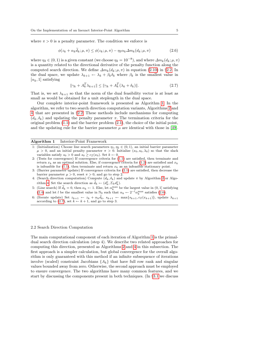where  $\pi > 0$  is a penalty parameter. The condition we enforce is

$$
\phi(z_k + \alpha_k \dot{d}_k; \mu, \pi) \le \phi(z_k; \mu, \pi) - \eta_2 \alpha_k \Delta m_k(d_k; \mu, \pi) \tag{2.6}
$$

where  $\eta_2 \in (0,1)$  is a given constant (we choose  $\eta_2 = 10^{-8}$ ), and where  $\Delta m_k(d_k; \mu, \pi)$ is a quantity related to the directional derivative of the penalty function along the computed search direction. We define  $\Delta m_k(d_k; \mu, \pi)$  in equation [\(2.10\)](#page-7-0) in §[2.2.](#page-5-0) In the dual space, we update  $\lambda_{k+1} \leftarrow \lambda_k + \beta_k \delta_k$  where  $\beta_k$  is the smallest value in  $[\alpha_k, 1]$  satisfying

<span id="page-5-3"></span><span id="page-5-2"></span>
$$
\|\gamma_k + A_k^T \lambda_{k+1}\| \le \|\gamma_k + A_k^T (\lambda_k + \delta_k)\|.\tag{2.7}
$$

That is, we set  $\lambda_{k+1}$  so that the norm of the dual feasibility vector is at least as small as would be obtained for a unit steplength in the dual space.

Our complete interior-point framework is presented as Algorithm [1.](#page-5-1) In the algorithm, we refer to two search direction computation variants, Algorithms [2](#page-8-0) and [4,](#page-11-0) that are presented in §[2.2.](#page-5-0) These methods include mechanisms for computing  $(d_k, \delta_k)$  and updating the penalty parameter  $\pi$ . The termination criteria for the original problem [\(1.1\)](#page-2-0) and the barrier problem [\(2.1\)](#page-4-0), the choice of the initial point, and the updating rule for the barrier parameter  $\mu$  are identical with those in [\[49\]](#page-27-2).

# Algorithm 1 Interior-Point Framework

- <span id="page-5-1"></span>1: (Initialization) Choose line search parameters  $\eta_1, \eta_2 \in (0,1)$ , an initial barrier parameter  $\mu > 0$ , and an initial penalty parameter  $\pi > 0$ . Initialize  $(x_0, s_0, \lambda_0)$  so that the slack variables satisfy  $s_0 > 0$  and  $s_0 \geq c_{\mathcal{I}}(x_0)$ . Set  $k \leftarrow 0$ .
- 2: (Tests for convergence) If convergence criteria for [\(1.1\)](#page-2-0) are satisfied, then terminate and return  $x_k$  as an optimal solution. Else, if convergence criteria for [\(1.2\)](#page-2-1) are satisfied and  $x_k$ is infeasible for [\(1.1\)](#page-2-0), then terminate and return  $x_k$  as an infeasible stationary point.
- 3: (Barrier parameter update) If convergence criteria for [\(2.1\)](#page-4-0) are satisfied, then decrease the barrier parameter  $\mu > 0$ , reset  $\pi > 0$ , and go to step 2.
- 4: (Search direction computation) Compute  $(d_k, \delta_k)$  and update  $\pi$  by Algorithm [2](#page-8-0) or Algo-rithm [4.](#page-11-0) Set the search direction as  $\widetilde{d}_k \leftarrow (d_k^x, \Sigma_k d_k^s).$
- 5: (Line search) If  $\tilde{d}_k = 0$ , then  $\alpha_k \leftarrow 1$ . Else, let  $\alpha_k^{\max}$  be the largest value in  $(0, 1]$  satisfying [\(2.4\)](#page-4-3) and let l be the smallest value in  $\mathbb{N}_0$  such that  $\alpha_k \leftarrow 2^{-l} \alpha_k^{\max}$  satisfies [\(2.6\)](#page-5-2).
- 6: (Iterate update) Set  $z_{k+1} \leftarrow z_k + \alpha_k \tilde{d}_k$ ,  $s_{k+1} \leftarrow \max\{s_{k+1}, c_{\mathcal{I}}(x_{k+1})\}$ , update  $\lambda_{k+1}$ according to [\(2.7\)](#page-5-3), set  $k \leftarrow k + 1$ , and go to step 3.

### <span id="page-5-0"></span>2.2 Search Direction Computation

The main computational component of each iteration of Algorithm [1](#page-5-1) is the primaldual search direction calculation (step 4). We describe two related approaches for computing this direction, presented as Algorithms [2](#page-8-0) and [4](#page-11-0) in this subsection. The first approach is a simpler calculation, but global convergence for the overall algorithm is only guaranteed with this method if an infinite subsequence of iterations involve (scaled) constraint Jacobians  $\{A_k\}$  that have full row rank and singular values bounded away from zero. Otherwise, the second approach must be employed to ensure convergence. The two algorithms have many common features, and we start by discussing the components present in both techniques. (In §[3.1](#page-11-1) we discuss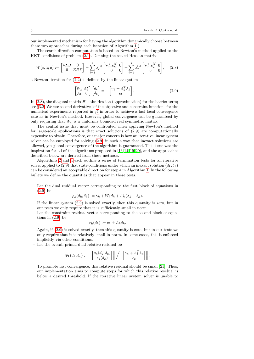our implemented mechanism for having the algorithm dynamically choose between these two approaches during each iteration of Algorithm [1.](#page-5-1))

The search direction computation is based on Newton's method applied to the KKT conditions of problem [\(2.1\)](#page-4-0). Defining the scaled Hessian matrix

$$
W(z,\lambda;\mu) := \begin{bmatrix} \nabla_{xx}^2 f & 0 \\ 0 & \Sigma \Sigma \Sigma \end{bmatrix} + \sum_{i=1}^p \lambda_{\mathcal{E}}^{(i)} \begin{bmatrix} \nabla_{xx}^2 c_{\mathcal{E}}^{(i)} & 0 \\ 0 & 0 \end{bmatrix} + \sum_{i=1}^q \lambda_{\mathcal{I}}^{(i)} \begin{bmatrix} \nabla_{xx}^2 c_{\mathcal{I}}^{(i)} & 0 \\ 0 & 0 \end{bmatrix}, \quad (2.8)
$$

a Newton iteration for [\(2.2\)](#page-4-1) is defined by the linear system

<span id="page-6-1"></span><span id="page-6-0"></span>
$$
\begin{bmatrix} W_k & A_k^T \\ A_k & 0 \end{bmatrix} \begin{bmatrix} d_k \\ \delta_k \end{bmatrix} = - \begin{bmatrix} \gamma_k + A_k^T \lambda_k \\ c_k \end{bmatrix} . \tag{2.9}
$$

In [\(2.8\)](#page-6-0), the diagonal matrix  $\Xi$  is the Hessian (approximation) for the barrier term; see §[3.2.](#page-12-0) We use second derivatives of the objective and constraint functions for the numerical experiments reported in §[4](#page-15-0) in order to achieve a fast local convergence rate as in Newton's method. However, global convergence can be guaranteed by only requiring that  $W_k$  is a uniformly bounded real symmetric matrix.

The central issue that must be confronted when applying Newton's method for large-scale applications is that exact solutions of [\(2.9\)](#page-6-1) are computationally expensive to obtain. Therefore, our major concern is how an iterative linear system solver can be employed for solving [\(2.9\)](#page-6-1) in such a way that inexact solutions are allowed, yet global convergence of the algorithm is guaranteed. This issue was the inspiration for all of the algorithms proposed in [\[13,](#page-25-8) [14,](#page-25-9)[19,](#page-26-10) [20\]](#page-26-0), and the approaches described below are derived from these methods.

Algorithms [2](#page-8-0) and [4](#page-11-0) each outline a series of termination tests for an iterative solver applied to [\(2.9\)](#page-6-1) that state conditions under which an inexact solution  $(d_k, \delta_k)$ can be considered an acceptable direction for step 4 in Algorithm [1.](#page-5-1) In the following bullets we define the quantities that appear in these tests.

– Let the dual residual vector corresponding to the first block of equations in [\(2.9\)](#page-6-1) be

$$
\rho_k(d_k, \delta_k) := \gamma_k + W_k d_k + A_k^T(\lambda_k + \delta_k).
$$

If the linear system [\(2.9\)](#page-6-1) is solved exactly, then this quantity is zero, but in our tests we only require that it is sufficiently small in norm.

– Let the constraint residual vector corresponding to the second block of equations in [\(2.9\)](#page-6-1) be

$$
r_k(d_k) := c_k + A_k d_k.
$$

Again, if [\(2.9\)](#page-6-1) is solved exactly, then this quantity is zero, but in our tests we only require that it is relatively small in norm. In some cases, this is enforced implicitly via other conditions.

– Let the overall primal-dual relative residual be

$$
\Psi_k(d_k, \delta_k) := \left\| \begin{bmatrix} \rho_k(d_k, \delta_k) \\ r_k(d_k) \end{bmatrix} \right\| / \left\| \begin{bmatrix} \gamma_k + A_k^T \lambda_k \\ c_k \end{bmatrix} \right\|.
$$

To promote fast convergence, this relative residual should be small [\[21\]](#page-26-11). Thus, our implementation aims to compute steps for which this relative residual is below a desired threshold. If the iterative linear system solver is unable to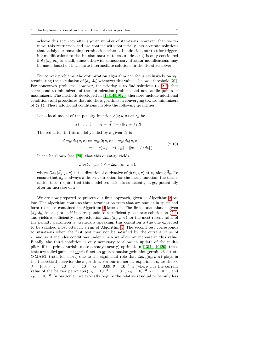achieve this accuracy after a given number of iterations, however, then we remove this restriction and are content with potentially less accurate solutions that satisfy our remaining termination criteria. In addition, our test for triggering modifications to the Hessian matrix (to ensure descent) is only considered if  $\Psi_k(d_k, \delta_k)$  is small, since otherwise unnecessary Hessian modifications may be made based on inaccurate intermediate solutions in the iterative solver.

For convex problems, the optimization algorithm can focus exclusively on  $\Psi_k$ , terminating the calculation of  $(d_k, \delta_k)$  whenever this value is below a threshold [\[21\]](#page-26-11). For nonconvex problems, however, the priority is to find solutions to [\(2.2\)](#page-4-1) that correspond to minimizers of the optimization problem and not saddle points or maximizers. The methods developed in [\[13,](#page-25-8) [14,](#page-25-9)[19,](#page-26-10) [20\]](#page-26-0) therefore include additional conditions and procedures that aid the algorithms in converging toward minimizers of [\(2.1\)](#page-4-0). These additional conditions involve the following quantities.

– Let a local model of the penalty function  $\phi(z; \mu, \pi)$  at  $z_k$  be

<span id="page-7-0"></span>
$$
m_k(d; \mu, \pi) := \varphi_k + \gamma_k^T d + \pi ||c_k + A_k d||.
$$

The reduction in this model yielded by a given  $d_k$  is

$$
\Delta m_k(d_k; \mu, \pi) := m_k(0; \mu, \pi) - m_k(d_k; \mu, \pi) = -\gamma_k^T d_k + \pi(||c_k|| - ||c_k + A_k d_k||).
$$
\n(2.10)

It can be shown (see [\[20\]](#page-26-0)) that this quantity yields

$$
D\phi_k(\dot{d}_k;\mu,\pi) \leq -\Delta m_k(d_k;\mu,\pi),
$$

where  $D\phi_k(d_k; \mu, \pi)$  is the directional derivative of  $\phi(z; \mu, \pi)$  at  $z_k$  along  $d_k$ . To ensure that  $d_k$  is always a descent direction for the merit function, the termination tests require that this model reduction is sufficiently large, potentially after an increase of  $\pi$ .

We are now prepared to present our first approach, given as Algorithm [2](#page-8-0) below. The algorithm contains three termination tests that are similar in spirit and form to those contained in Algorithm [4](#page-11-0) later on. The first states that a given  $(d_k, \delta_k)$  is acceptable if it corresponds to a sufficiently accurate solution to [\(2.9\)](#page-6-1) and yields a sufficiently large reduction  $\Delta m_k(d_k; \mu, \pi)$  for the most recent value of the penalty parameter  $\pi$ . Generally speaking, this condition is the one expected to be satisfied most often in a run of Algorithm [1.](#page-5-1) The second test corresponds to situations when the first test may not be satisfied by the current value of  $\pi$ , and so it includes conditions under which we allow an increase in this value. Finally, the third condition is only necessary to allow an update of the multipliers if the primal variables are already (nearly) optimal. In [\[13,](#page-25-8) [14,](#page-25-9) [19,](#page-26-10)[20\]](#page-26-0), these tests are called sufficient merit function approximation reduction termination tests (SMART tests, for short) due to the significant role that  $\Delta m_k(d_k; \mu, \pi)$  plays in the theoretical behavior the algorithm. For our numerical experiments, we choose  $J = 100$ ,  $\kappa_{\text{des}} = 10^{-3}$ ,  $\kappa = 10^{-2}$ ,  $\epsilon_1 = 0.09$ ,  $\theta = 10^{-12}$ μ (where μ is the current value of the barrier parameter),  $\zeta = 10^{-4}$ ,  $\tau = 0.1$ ,  $\kappa_3 = 10^{-3}$ ,  $\epsilon_3 = 10^{-8}$ , and  $\kappa_W = 10^{-2}$ . In particular, we typically require the relative residual to be only less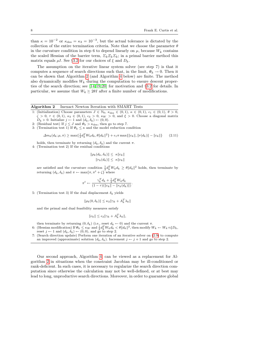than  $\kappa = 10^{-2}$  or  $\kappa_{\text{des}} = \kappa_3 = 10^{-3}$ , but the actual tolerance is dictated by the collection of the entire termination criteria. Note that we choose the parameter  $\theta$ in the curvature condition in step 6 to depend linearly on  $\mu$ , because  $W_k$  contains the scaled Hessian of the barrier term,  $\Sigma_k \Sigma_k \Sigma_k$ ; in a primal barrier method this matrix equals  $\mu I$ . See §[3.2](#page-12-0) for our choices of  $\xi$  and  $D_k$ .

The assumption on the iterative linear system solver (see step 7) is that it computes a sequence of search directions such that, in the limit,  $\Psi_k \to 0$ . Then it can be shown that Algorithm [2](#page-8-0) (and Algorithm [4](#page-11-0) below) are finite. The method also dynamically modifies  $W_k$  during the computation to ensure descent properties of the search direction; see [\[14,](#page-25-9) [19,](#page-26-10)[20\]](#page-26-0) for motivation and §[3.2](#page-12-0) for details. In particular, we assume that  $W_k \succeq 2\theta I$  after a finite number of modifications.

# Algorithm 2 Inexact Newton Iteration with SMART Tests

- <span id="page-8-0"></span>1: (Initialization) Choose parameters  $J \in \mathbb{N}_0$ ,  $\kappa_{\text{des}} \in (0,1)$ ,  $\kappa \in (0,1)$ ,  $\epsilon_1 \in (0,1)$ ,  $\theta > 0$ ,  $\zeta > 0$ ,  $\tau \in (0, 1)$ ,  $\kappa_3 \in (0, 1)$ ,  $\epsilon_3 > 0$ ,  $\kappa_W > 0$ , and  $\xi > 0$ . Choose a diagonal matrix  $D_k \succ 0$ . Initialize  $j \leftarrow 1$  and  $(d_k, \delta_k) \leftarrow (0, 0)$ .
- 2: (Residual test) If  $j \leq J$  and  $\Psi_k > \kappa_{\text{des}}$ , then go to step 7.
- 3: (Termination test 1) If  $\Psi_k \leq \kappa$  and the model reduction condition

$$
\Delta m_k(d_k; \mu, \pi) \ge \max\{\frac{1}{2}d_k^T W_k d_k, \theta \|d_k\|^2\} + \epsilon_1 \pi \max\{\|c_k\|, \|r(d_k)\| - \|c_k\|\} \tag{2.11}
$$

holds, then terminate by returning  $(d_k, \delta_k)$  and the current  $\pi$ .

4: (Termination test 2) If the residual conditions

<span id="page-8-1"></span>
$$
\|\rho_k(d_k, \delta_k)\| \le \kappa \|c_k\|
$$
  

$$
\|r_k(d_k)\| \le \kappa \|c_k\|
$$

are satisfied and the curvature condition  $\frac{1}{2}d_k^T W_k d_k \geq \theta ||d_k||^2$  holds, then terminate by returning  $(d_k, \delta_k)$  and  $\pi \leftarrow \max{\pi, \pi^t + \zeta}$  where

$$
\pi^t \leftarrow \frac{\gamma_k^T d_k + \frac{1}{2} d_k^T W_k d_k}{(1-\tau)(\|c_k\| - \|r_k(d_k)\|)}.
$$

5: (Termination test 3) If the dual displacement  $\delta_k$  yields

$$
\|\rho_k(0,\delta_k)\| \le \kappa_3 \|\gamma_k + A_k^T \lambda_k\|
$$

and the primal and dual feasibility measures satisfy

$$
||c_k|| \le \epsilon_3 ||\gamma_k + A_k^T \lambda_k||,
$$

then terminate by returning  $(0, \delta_k)$  (i.e., reset  $d_k \leftarrow 0$ ) and the current  $\pi$ .<br>6: (Hessian modification) If  $\Psi_k \leq \kappa_W$  and  $\frac{1}{2} d_k^T W_k d_k < \theta ||d_k||^2$ , then modify  $W_k \leftarrow W_k + \xi D_k$ ,

- reset  $j \leftarrow 1$  and  $(d_k, \delta_k) \leftarrow (0, 0)$ , and go to step 2. 7: (Search direction update) Perform one iteration of an iterative solver on [\(2.9\)](#page-6-1) to compute
- an improved (approximate) solution  $(d_k, \delta_k)$ . Increment  $j \leftarrow j + 1$  and go to step 2.

Our second approach, Algorithm [4,](#page-11-0) can be viewed as a replacement for Algorithm [2](#page-8-0) in situations when the constraint Jacobian may be ill-conditioned or rank-deficient. In such cases, it is necessary to regularize the search direction computation since otherwise the calculation may not be well-defined, or at best may lead to long, unproductive search directions. Moreover, in order to guarantee global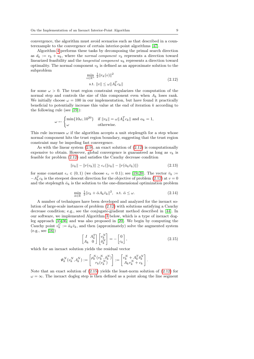convergence, the algorithm must avoid scenarios such as that described in a counterexample to the convergence of certain interior-point algorithms [\[47\]](#page-27-3).

<span id="page-9-0"></span>Algorithm [4](#page-11-0) performs these tasks by decomposing the primal search direction as  $d_k := v_k + u_k$ , where the normal component  $v_k$  represents a direction toward linearized feasibility and the *tangential component*  $u_k$  represents a direction toward optimality. The normal component  $v_k$  is defined as an approximate solution to the subproblem

$$
\min_{v \in \mathbb{R}^n} \frac{1}{2} ||r_k(v)||^2
$$
\n
$$
\text{s.t. } ||v|| \le \omega ||A_k^T c_k|| \tag{2.12}
$$

for some 
$$
\omega > 0
$$
. The trust region constraint regularizes the computation of the normal step and controls the size of this component even when  $A_k$  loses rank. We initially choose  $\omega = 100$  in our implementation, but have found it practically beneficial to potentially increase this value at the end of iteration  $k$  according to the following rule (see [19]):

$$
\omega \leftarrow \begin{cases} \min\{10\omega, 10^{20}\} & \text{if } \|v_k\| = \omega \|A_k^T c_k\| \text{ and } \alpha_k = 1, \\ \omega & \text{otherwise.} \end{cases}
$$

This rule increases  $\omega$  if the algorithm accepts a unit steplength for a step whose normal component hits the trust region boundary, suggesting that the trust region constraint may be impeding fast convergence.

As with the linear system  $(2.9)$ , an exact solution of  $(2.12)$  is computationally expensive to obtain. However, global convergence is guaranteed as long as  $v_k$  is feasible for problem [\(2.12\)](#page-9-0) and satisfies the Cauchy decrease condition

<span id="page-9-2"></span>
$$
||c_k|| - ||r(v_k)|| \ge \epsilon_v(||c_k|| - ||r(\bar{\alpha}_k \bar{v}_k)||) \tag{2.13}
$$

<span id="page-9-3"></span>for some constant  $\epsilon_v \in (0,1)$  (we choose  $\epsilon_v = 0.1$ ); see [\[19,](#page-26-10)[20\]](#page-26-0). The vector  $\bar{v}_k :=$  $-A_k^T c_k$  is the steepest descent direction for the objective of problem [\(2.12\)](#page-9-0) at  $v = 0$ and the steplength  $\bar{\alpha}_k$  is the solution to the one-dimensional optimization problem

$$
\min_{\bar{\alpha} \in \mathbb{R}} \frac{1}{2} \|c_k + \bar{\alpha} A_k \bar{v}_k\|^2, \text{ s.t. } \bar{\alpha} \le \omega.
$$
 (2.14)

A number of techniques have been developed and analyzed for the inexact solution of large-scale instances of problem [\(2.12\)](#page-9-0) with solutions satisfying a Cauchy decrease condition; e.g., see the conjugate-gradient method described in [\[44\]](#page-27-4). In our software, we implemented Algorithm [3](#page-10-1) below, which is a type of inexact dogleg approach [\[35,](#page-26-12) [36\]](#page-26-13) and was also proposed in [\[20\]](#page-26-0). We begin by computing the Cauchy point  $v_k^C := \bar{\alpha}_k \bar{v}_k$ , and then (approximately) solve the augmented system  $(e.g., see [16])$  $(e.g., see [16])$  $(e.g., see [16])$ 

<span id="page-9-1"></span>
$$
\begin{bmatrix} I & A_k^T \\ A_k & 0 \end{bmatrix} \begin{bmatrix} v_k^N \\ \delta_k^N \end{bmatrix} = - \begin{bmatrix} 0 \\ c_k \end{bmatrix},
$$
\n(2.15)

which for an inexact solution yields the residual vector

$$
\Psi_k^N(v_k^N,\delta_k^N):=\begin{bmatrix} \rho_k^N(v_k^N,\delta_k^N) \\ r_k(v_k^N) \end{bmatrix}:=\begin{bmatrix} v_k^N+A_k^T\delta_k^N \\ A_kv_k^N+c_k \end{bmatrix}.
$$

Note that an exact solution of  $(2.15)$  yields the least-norm solution of  $(2.12)$  for  $\omega = \infty$ . The inexact dogleg step is then defined as a point along the line segment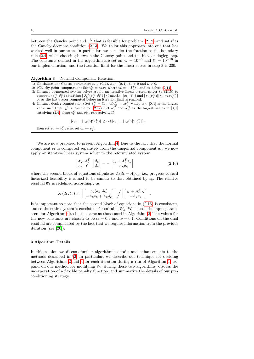between the Cauchy point and  $v_k^N$  that is feasible for problem [\(2.12\)](#page-9-0) and satisfies the Cauchy decrease condition [\(2.13\)](#page-9-2). We tailor this approach into one that has worked well in our tests. In particular, we consider the fraction-to-the-boundary rule [\(2.4\)](#page-4-3) when choosing between the Cauchy point and the inexact dogleg step. The constants defined in the algorithm are set as  $\kappa_v = 10^{-3}$  and  $\bar{\epsilon}_v = 10^{-10}$  in our implementation, and the iteration limit for the linear solver in step 3 is 200.

Algorithm 3 Normal Component Iteration

- <span id="page-10-1"></span>1: (Initialization) Choose parameters  $\epsilon_v \in (0,1)$ ,  $\kappa_v \in (0,1)$ ,  $\bar{\epsilon}_v > 0$  and  $\omega > 0$ .
- 2: (Cauchy point computation) Set  $v_k^C = \bar{\alpha}_k \bar{v}_k$  where  $\bar{v}_k = -A_k^T c_k$  and  $\bar{\alpha}_k$  solves [\(2.14\)](#page-9-3).
- 3: (Inexact augmented system solve) Apply an iterative linear system solver to [\(2.15\)](#page-9-1) to compute  $(v_k^N, \delta_k^N)$  satisfying  $\|\Psi_k^N(v_k^N, \delta_k^N)\| \leq \max\{\kappa_v ||c_k||, \bar{\epsilon}_v\}$  and  $\|r_k(v_k^N) \| \leq \|r_k(v_k^C)\|$
- or as the last vector computed before an iteration limit is reached.<br>4: (Inexact dogleg computation) Set  $v_k^D = (1 \alpha) v_k^C + \alpha v_k^N$  where  $\alpha \in [0, 1]$  is the largest value such that  $v_k^D$  is feasible for [\(2.12\)](#page-9-0). Set  $\alpha_k^C$  and  $\alpha_k^D$  as the largest values in [0, 1] satisfying [\(2.4\)](#page-4-3) along  $v_k^C$  and  $v_k^D$ , respectively. If

$$
||c_k|| - ||r_k(\alpha_k^D v_k^D)|| \ge \epsilon_v(||c_k|| - ||r_k(\alpha_k^C v_k^C)||),
$$

then set  $v_k \leftarrow v_k^D$ ; else, set  $v_k \leftarrow v_k^C$ .

We are now prepared to present Algorithm [4.](#page-11-0) Due to the fact that the normal component  $v_k$  is computed separately from the tangential component  $u_k$ , we now apply an iterative linear system solver to the reformulated system

<span id="page-10-2"></span>
$$
\begin{bmatrix} W_k & A_k^T \\ A_k & 0 \end{bmatrix} \begin{bmatrix} d_k \\ \delta_k \end{bmatrix} = -\begin{bmatrix} \gamma_k + A_k^T \lambda_k \\ -A_k v_k \end{bmatrix}
$$
 (2.16)

where the second block of equations stipulates  $A_k d_k = A_k v_k$ ; i.e., progress toward linearized feasibility is aimed to be similar to that obtained by  $v_k$ . The relative residual  $\Psi_k$  is redefined accordingly as

$$
\Psi_k(d_k, \delta_k) := \left\| \begin{bmatrix} \rho_k(d_k, \delta_k) \\ -A_k v_k + A_k d_k \end{bmatrix} \right\| / \left\| \begin{bmatrix} \gamma_k + A_k^T \lambda_k \\ -A_k v_k \end{bmatrix} \right\|.
$$

It is important to note that the second block of equations in [\(2.16\)](#page-10-2) is consistent, and so the entire system is consistent for suitable  $W_k$ . We choose the input parameters for Algorithm [4](#page-11-0) to be the same as those used in Algorithm [2.](#page-8-0) The values for the new constants are chosen to be  $\epsilon_2 = 0.9$  and  $\psi = 0.1$ . Conditions on the dual residual are complicated by the fact that we require information from the previous iteration (see [\[20\]](#page-26-0)).

# <span id="page-10-0"></span>3 Algorithm Details

In this section we discuss further algorithmic details and enhancements to the methods described in §[2.](#page-3-0) In particular, we describe our technique for deciding between Algorithms [2](#page-8-0) and [4](#page-11-0) for each iteration during a run of Algorithm [1,](#page-5-1) expand on our method for modifying  $W_k$  during these two algorithms, discuss the incorporation of a flexible penalty function, and summarize the details of our preconditioning strategy.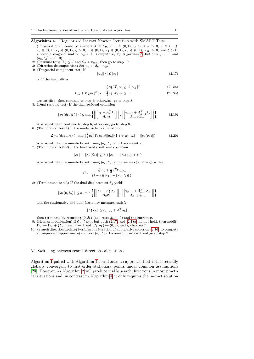Algorithm 4 Regularized Inexact Newton Iteration with SMART Tests

- <span id="page-11-0"></span>1: (Initialization) Choose parameters  $J \in \mathbb{N}_0$ ,  $\kappa_{\text{des}} \in (0,1)$ ,  $\psi > 0$ ,  $\theta > 0$ ,  $\kappa \in (0,1)$ ,  $\epsilon_1 \in (0, 1), \epsilon_2 \in (0, 1), \zeta > 0, \tau \in (0, 1), \kappa_3 \in (0, 1), \epsilon_3 \in (0, 1), \kappa_W > 0, \text{ and } \xi > 0.$ Choose a diagonal matrix  $D_k \succ 0$ . Compute  $v_k$  by Algorithm [3.](#page-10-1) Initialize  $j \leftarrow 1$  and  $(d_k, \delta_k) \leftarrow (0, 0).$
- 2: (Residual test) If  $j \leq J$  and  $\Psi_k > \kappa_{\text{des}}$ , then go to step 10.
- 3: (Direction decomposition) Set  $u_k \leftarrow d_k v_k$ . 4: (Tangential component test) If

<span id="page-11-2"></span>
$$
||u_k|| \le \psi ||v_k|| \tag{2.17}
$$

or if the inequalities

<span id="page-11-3"></span>
$$
\frac{1}{2}u_k^T W_k u_k \ge \theta \|u_k\|^2 \tag{2.18a}
$$

$$
(\gamma_k + W_k v_k)^T u_k + \frac{1}{2} u_k^T W_k u_k \leq 0
$$
\n
$$
(2.18b)
$$

are satisfied, then continue to step 5; otherwise, go to step 8.

5: (Dual residual test) If the dual residual condition

$$
\|\rho_k(d_k, \delta_k)\| \le \kappa \min\left\{ \left\| \begin{bmatrix} \gamma_k + A_k^T \lambda_k \\ A_k v_k \end{bmatrix} \right\|, \left\| \begin{bmatrix} \gamma_{k-1} + A_{k-1}^T \lambda_k \\ A_{k-1} v_{k-1} \end{bmatrix} \right\| \right\}
$$
(2.19)

is satisfied, then continue to step 6; otherwise, go to step 8.

6: (Termination test 1) If the model reduction condition

$$
\Delta m_k(d_k; \mu, \pi) \ge \max\{\frac{1}{2}u_k^T W_k u_k, \theta \|u_k\|^2\} + \epsilon_1 \pi(\|c_k\| - \|r_k(v_k)\|) \tag{2.20}
$$

- is satisfied, then terminate by returning  $(d_k, \delta_k)$  and the current  $\pi$ .
- 7: (Termination test 2) If the linearized constraint condition

$$
||c_k|| - ||r_k(d_k)|| \ge \epsilon_2(||c_k|| - ||r_k(v_k)||) > 0
$$

is satisfied, then terminate by returning  $(d_k, \delta_k)$  and  $\pi \leftarrow \max{\pi, \pi^t + \zeta}$  where

$$
\pi^{t} \leftarrow \frac{\gamma_{k}^{T} d_{k} + \frac{1}{2} u_{k}^{T} W_{k} u_{k}}{(1 - \tau)(||c_{k}|| - ||r_{k}(d_{k})||)}.
$$

8: (Termination test 3) If the dual displacement  $\delta_k$  yields

$$
\|\rho_k(0,\delta_k)\| \leq \kappa_3\min\left\{\left\|\begin{bmatrix} \gamma_k+A_k^T\lambda_k\\ A_kv_k \end{bmatrix}\right\|, \left\|\begin{bmatrix} \gamma_{k-1}+A_{k-1}^T\lambda_k\\ A_{k-1}v_{k-1} \end{bmatrix}\right\|\right\}
$$

and the stationarity and dual feasibility measures satisfy

$$
||A_k^T c_k|| \le \epsilon_3 ||\gamma_k + A_k^T \lambda_k||,
$$

then terminate by returning  $(0, \delta_k)$  (i.e., reset  $d_k \leftarrow 0$ ) and the current  $\pi$ .

- 9: (Hessian modification) If  $\overrightarrow{\Psi_k} \leq \kappa_W$ , but both [\(2.17\)](#page-11-2) and [\(2.18a\)](#page-4-0) do not hold, then modify  $W_k \leftarrow W_k + \xi D_k$  , reset  $j \leftarrow 1$  and  $(d_k, \delta_k) \leftarrow (0, 0)$  , and go to step 2.
- 10: (Search direction update) Perform one iteration of an iterative solver on [\(2.16\)](#page-10-2) to compute an improved (approximate) solution  $(d_k, \delta_k)$ . Increment  $j \leftarrow j + 1$  and go to step 2.

### <span id="page-11-1"></span>3.1 Switching between search direction calculations

Algorithm [1](#page-5-1) paired with Algorithm [4](#page-11-0) constitutes an approach that is theoretically globally convergent to first-order stationary points under common assumptions [\[20\]](#page-26-0). However, as Algorithm [2](#page-8-0) will produce viable search directions in most practical situations and, in contrast to Algorithm [4,](#page-11-0) it only requires the inexact solution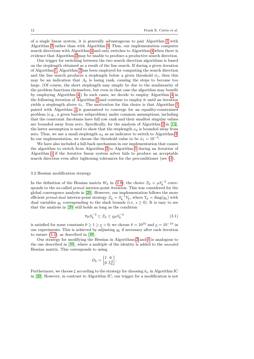of a single linear system, it is generally advantageous to pair Algorithm [1](#page-5-1) with Algorithm [2](#page-8-0) rather than with Algorithm [4.](#page-11-0) Thus, our implementation computes search directions with Algorithm [2](#page-8-0) and only switches to Algorithm [4](#page-11-0) when there is evidence that Algorithm [2](#page-8-0) may be unable to produce a productive search direction.

Our trigger for switching between the two search direction algorithms is based on the steplength obtained as a result of the line search. If during a given iteration of Algorithm [1,](#page-5-1) Algorithm [2](#page-8-0) has been employed for computing the search direction and the line search produces a steplength below a given threshold  $\bar{\alpha}_1$ , then this may be an indication that  $A_k$  is losing rank, causing the steps to become too large. (Of course, the short steplength may simply be due to the nonlinearity of the problem functions themselves, but even in that case the algorithm may benefit by employing Algorithm [4.](#page-11-0)) In such cases, we decide to employ Algorithm [4](#page-11-0) in the following iteration of Algorithm [1](#page-5-1) and continue to employ it until an iteration yields a steplength above  $\bar{\alpha}_1$ . The motivation for this choice is that Algorithm [1](#page-5-1) paired with Algorithm [2](#page-8-0) is guaranteed to converge for an equality-constrained problem (e.g., a given barrier subproblem) under common assumptions, including that the constraint Jacobians have full row rank and their smallest singular values are bounded away from zero. Specifically, for the analysis of Algorithm [2](#page-8-0) in [\[14\]](#page-25-9), the latter assumption is used to show that the steplength  $\alpha_k$  is bounded away from zero. Thus, we use a small steplength  $\alpha_k$  as an indicator to switch to Algorithm [4.](#page-11-0) In our implementation, we choose the threshold value to be  $\bar{\alpha}_1 = 10^{-3}$ .

We have also included a fall-back mechanism in our implementation that causes the algorithm to switch from Algorithm [2](#page-8-0) to Algorithm [4](#page-11-0) during an iteration of Algorithm [1](#page-5-1) if the iterative linear system solver fails to produce an acceptable search direction even after tightening tolerances for the preconditioner (see §[4\)](#page-15-0).

#### <span id="page-12-0"></span>3.2 Hessian modification strategy

In the definition of the Hessian matrix  $W_k$  in [\(2.8\)](#page-6-0), the choice  $\mathcal{Z}_k = \mu S_k^{-2}$  corresponds to the so-called primal interior-point iteration. This was considered for the global convergence analysis in [\[20\]](#page-26-0). However, our implementation follows the more efficient *primal-dual* interior-point strategy  $\mathcal{Z}_k = S_k^{-1} Y_k$ , where  $Y_k = \text{diag}(y_k)$  with dual variables  $y_k$  corresponding to the slack bounds (i.e.  $s \geq 0$ ). It is easy to see that the analysis in [\[20\]](#page-26-0) still holds as long as the condition

<span id="page-12-1"></span>
$$
\overline{\nu}\mu S_k^{-2} \succeq \overline{\varepsilon}_k \succeq \underline{\nu}\mu S_k^{-2} \tag{3.1}
$$

is satisfied for some constants  $\overline{\nu} \ge 1 \ge \underline{\nu} > 0$ ; we choose  $\overline{\nu} = 10^{10}$  and  $\underline{\nu} = 10^{-10}$  in our experiments. This is achieved by adjusting  $y_k$  if necessary after each iteration to ensure [\(3.1\)](#page-12-1), as described in [\[49\]](#page-27-2).

Our strategy for modifying the Hessian in Algorithms [2](#page-8-0) and [4](#page-11-0) is analogous to the one described in [\[49\]](#page-27-2), where a multiple of the identity is added to the unscaled Hessian matrix. This corresponds to using

$$
D_k = \begin{bmatrix} I & 0 \\ 0 & \Sigma_k^2 \end{bmatrix}.
$$

Furthermore, we choose  $\xi$  according to the strategy for choosing  $\delta_w$  in Algorithm IC in [\[49\]](#page-27-2). However, in contrast to Algorithm IC, our trigger for a modification is not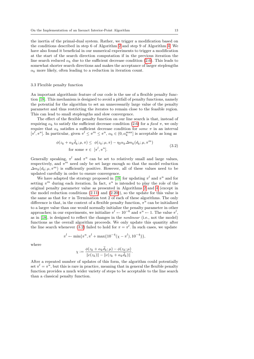the inertia of the primal-dual system. Rather, we trigger a modification based on the conditions described in step 6 of Algorithm [2](#page-8-0) and step 9 of Algorithm [4.](#page-11-0) We have also found it beneficial in our numerical experiments to trigger a modification at the start of the search direction computation if in the previous iteration the line search reduced  $\alpha_k$  due to the sufficient decrease condition [\(2.6\)](#page-5-2). This leads to somewhat shorter search directions and makes the acceptance of larger steplengths  $\alpha_k$  more likely, often leading to a reduction in iteration count.

# 3.3 Flexible penalty function

An important algorithmic feature of our code is the use of a flexible penalty function [\[18\]](#page-26-15). This mechanism is designed to avoid a pitfall of penalty functions, namely the potential for the algorithm to set an unnecessarily large value of the penalty parameter and thus restricting the iterates to remain close to the feasible region. This can lead to small steplengths and slow convergence.

The effect of the flexible penalty function on our line search is that, instead of requiring  $\alpha_k$  to satisfy the sufficient decrease condition [\(2.6\)](#page-5-2) for a fixed  $\pi$ , we only require that  $\alpha_k$  satisfies a sufficient decrease condition for some  $\pi$  in an interval  $[\pi^l, \pi^u]$ . In particular, given  $\pi^l \leq \pi^m \leq \pi^u$ ,  $\alpha_k \in (0, \alpha_k^{\max}]$  is acceptable as long as

<span id="page-13-0"></span>
$$
\phi(z_k + \alpha_k \tilde{d}_k; \mu, \pi) \leq \phi(z_k; \mu, \pi) - \eta_2 \alpha_k \Delta m_k(d_k; \mu, \pi^m)
$$
  
for some  $\pi \in [\pi^l, \pi^u].$  (3.2)

Generally speaking,  $\pi^{l}$  and  $\pi^{u}$  can be set to relatively small and large values, respectively, and  $\pi^m$  need only be set large enough so that the model reduction  $\Delta m_k(d_k; \mu, \pi^m)$  is sufficiently positive. However, all of these values need to be updated carefully in order to ensure convergence.

We have adapted the strategy proposed in [\[18\]](#page-26-15) for updating  $\pi^{l}$  and  $\pi^{u}$  and for setting  $\pi^m$  during each iteration. In fact,  $\pi^u$  is intended to play the role of the original penalty parameter value as presented in Algorithms [2](#page-8-0) and [4](#page-11-0) (except in the model reduction conditions  $(2.11)$  and  $(2.20)$ , so the update for this value is the same as that for  $\pi$  in Termination test 2 of each of these algorithms. The only difference is that, in the context of a flexible penalty function,  $\pi^u$  can be initialized to a larger value than one would normally initialize the penalty parameter in other approaches; in our experiments, we initialize  $\pi^{l} \leftarrow 10^{-6}$  and  $\pi^{u} \leftarrow 1$ . The value  $\pi^{l}$ , as in [\[18\]](#page-26-15), is designed to reflect the changes in the nonlinear (i.e., not the model) functions as the overall algorithm proceeds. We only update this quantity after the line search whenever [\(3.2\)](#page-13-0) failed to hold for  $\pi = \pi^l$ . In such cases, we update

$$
\pi^{l} \leftarrow \min\{\pi^{u}, \pi^{l} + \max\{10^{-4}(\chi - \pi^{l}), 10^{-4}\}\},\
$$

where

$$
\chi := \frac{\phi(z_k + \alpha_k \vec{d}_k; \mu) - \phi(z_k; \mu)}{\|c(z_k)\| - \|c(z_k + \alpha_k \vec{d}_k)\|}.
$$

After a repeated number of updates of this form, the algorithm could potentially set  $\pi^l = \pi^u$ , but this is rare in practice, meaning that in general the flexible penalty function provides a much wider variety of steps to be acceptable to the line search than a classical penalty function.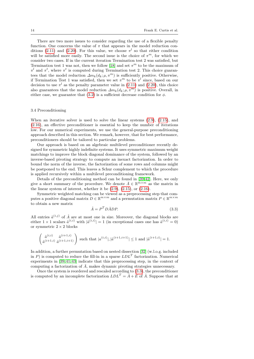There are two more issues to consider regarding the use of a flexible penalty function. One concerns the value of  $\pi$  that appears in the model reduction con-ditions [\(2.11\)](#page-8-1) and [\(2.20\)](#page-11-3). For this value, we choose  $\pi^{l}$  so that either condition will be satisfied more easily. The second issue is the choice of  $\pi^m$ , for which we consider two cases. If in the current iteration Termination test 2 was satisfied, but Termination test 1 was not, then we follow [\[18\]](#page-26-15) and set  $\pi^m$  to be the maximum of  $\pi^{l}$  and  $\pi^{t}$ , where  $\pi^{t}$  is computed during Termination test 2. This choice guarantees that the model reduction  $\Delta m_k(d_k; \mu, \pi^m)$  is sufficiently positive. Otherwise, if Termination Test 1 was satisfied, then we set  $\pi^m$  to be  $\pi^l$  since, based on our decision to use  $\pi^{l}$  as the penalty parameter value in [\(2.11\)](#page-8-1) and [\(2.20\)](#page-11-3), this choice also guarantees that the model reduction  $\Delta m_k(d_k; \mu, \pi^m)$  is positive. Overall, in either case, we guarantee that  $(3.2)$  is a sufficient decrease condition for  $\phi$ .

# <span id="page-14-0"></span>3.4 Preconditioning

When an iterative solver is used to solve the linear systems  $(2.9)$ ,  $(2.15)$ , and [\(2.16\)](#page-10-2), an effective preconditioner is essential to keep the number of iterations low. For our numerical experiments, we use the general-purpose preconditioning approach described in this section. We remark, however, that for best performance, preconditioners should be tailored to particular problems.

Our approach is based on an algebraic multilevel preconditioner recently designed for symmetric highly indefinite systems. It uses symmetric maximum weight matchings to improve the block diagonal dominance of the system, followed by an inverse-based pivoting strategy to compute an inexact factorization. In order to bound the norm of the inverse, the factorization of some rows and columns might be postponed to the end. This leaves a Schur complement to which the procedure is applied recursively within a multilevel preconditioning framework.

Details of the preconditioning method can be found in [\[39,](#page-26-16) [42\]](#page-27-5). Here, we only give a short summary of the procedure. We denote  $\bar{A} \in \mathbb{R}^{m \times m}$  as the matrix in the linear system of interest, whether it be  $(2.9)$ ,  $(2.15)$ , or  $(2.16)$ .

Symmetric weighted matching can be viewed as a preprocessing step that computes a positive diagonal matrix  $D \in \mathbb{R}^{m \times m}$  and a permutation matrix  $P \in \mathbb{R}^{m \times m}$ to obtain a new matrix

<span id="page-14-1"></span>
$$
\hat{A} = P^T D \bar{A} D P. \tag{3.3}
$$

All entries  $\hat{a}^{(i,j)}$  of  $\hat{A}$  are at most one in size. Moreover, the diagonal blocks are either  $1 \times 1$  scalars  $\hat{a}^{(i,i)}$  with  $|\hat{a}^{(i,i)}| = 1$  (in exceptional cases one has  $\hat{a}^{(i,i)} = 0$ ) or symmetric  $2 \times 2$  blocks

$$
\begin{pmatrix}\n\hat{a}^{(i,i)} & \hat{a}^{(i+1,i)} \\
\hat{a}^{(i+1,i)} & \hat{a}^{(i+1,i+1)}\n\end{pmatrix}
$$
 such that  $|a^{(i,i)}|, |\hat{a}^{(i+1,i+1)}| \le 1$  and  $|\hat{a}^{(i+1,i)}| = 1$ .

In addition, a further permutation based on nested dissection [\[32\]](#page-26-17) (w.l.o.g. included in P) is computed to reduce the fill-in in a sparse  $LDL<sup>T</sup>$  factorization. Numerical experiments in [\[39,](#page-26-16) [41,](#page-27-6)[43\]](#page-27-7) indicate that this preprocessing step, in the context of computing a factorization of  $\overline{A}$ , makes dynamic pivoting strategies unnecessary.

Once the system is reordered and rescaled according to [\(3.3\)](#page-14-1), the preconditioner is computed by an incomplete factorization  $LDL^T = \hat{A} + E$  of  $\hat{A}$ . Suppose that at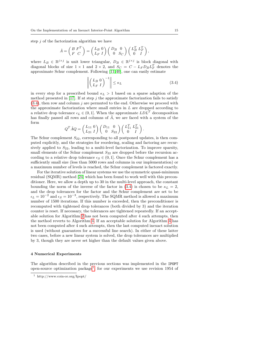step  $j$  of the factorization algorithm we have

$$
\hat{A} = \begin{pmatrix} B & F^T \\ F & C \end{pmatrix} = \begin{pmatrix} L_B & 0 \\ L_F & I \end{pmatrix} \begin{pmatrix} D_B & 0 \\ 0 & S_C \end{pmatrix} \begin{pmatrix} L_B^T & L_F^T \\ 0 & I \end{pmatrix},
$$

where  $L_B \in \mathbb{R}^{j \times j}$  is unit lower triangular,  $D_B \in \mathbb{R}^{j \times j}$  is block diagonal with diagonal blocks of size  $1 \times 1$  and  $2 \times 2$ , and  $S_C = C - L_F D_B L_F^T$  denotes the approximate Schur complement. Following [\[11,](#page-25-11) [40\]](#page-27-8), one can easily estimate

<span id="page-15-1"></span>
$$
\left\| \begin{pmatrix} L_B & 0 \\ L_F & I \end{pmatrix}^{-1} \right\| \le \kappa_L \tag{3.4}
$$

in every step for a prescribed bound  $\kappa_L > 1$  based on a sparse adaption of the method presented in [\[17\]](#page-26-18). If at step  $j$  the approximate factorization fails to satisfy  $(3.4)$ , then row and column j are permuted to the end. Otherwise we proceed with the approximate factorization where small entries in  $L$  are dropped according to a relative drop tolerance  $\epsilon_L \in (0, 1]$ . When the approximate  $LDL^T$  decomposition has finally passed all rows and columns of  $\hat{A}$ , we are faced with a system of the form

$$
Q^T \hat{A} Q = \begin{pmatrix} L_{11} & 0 \\ L_{21} & I \end{pmatrix} \begin{pmatrix} D_{11} & 0 \\ 0 & S_{22} \end{pmatrix} \begin{pmatrix} L_{11}^T & L_{21}^T \\ 0 & I \end{pmatrix}.
$$

The Schur complement  $S_{22}$ , corresponding to all postponed updates, is then computed explicitly, and the strategies for reordering, scaling and factoring are recursively applied to  $S_{22}$ , leading to a multi-level factorization. To improve sparsity, small elements of the Schur complement  $S_{22}$  are dropped before the recursion according to a relative drop tolerance  $\epsilon_S \in (0, 1]$ . Once the Schur complement has a sufficiently small size (less than 5000 rows and columns in our implementation) or a maximum number of levels is reached, the Schur complement is factored exactly.

For the iterative solution of linear systems we use the symmetric quasi-minimum residual (SQMR) method [\[24\]](#page-26-19) which has been found to work well with this preconditioner. Here, we allow a depth up to 30 in the multi-level approach, the constant bounding the norm of the inverse of the factor in [\(3.4\)](#page-15-1) is chosen to be  $\kappa_L = 2$ , and the drop tolerances for the factor and the Schur complement are set to be  $\epsilon_L = 10^{-2}$  and  $\epsilon_S = 10^{-3}$ , respectively. The SQMR method is allowed a maximum number of 1500 iterations. If this number is exceeded, then the preconditioner is recomputed with tightened drop tolerances (both divided by 3) and the iteration counter is reset. If necessary, the tolerances are tightened repeatedly. If an acceptable solution for Algorithm [2](#page-8-0) has not been computed after 4 such attempts, then the method reverts to Algorithm [4.](#page-11-0) If an acceptable solution for Algorithm [4](#page-11-0) has not been computed after 4 such attempts, then the last computed inexact solution is used (without guarantees for a successful line search). In either of these latter two cases, before a new linear system is solved, the drop tolerances are multiplied by 3, though they are never set higher than the default values given above.

### <span id="page-15-0"></span>4 Numerical Experiments

The algorithm described in the previous sections was implemented in the IPOPT open-source optimization package<sup>[1](#page-15-2)</sup>; for our experiments we use revision 1954 of

<span id="page-15-2"></span><sup>1</sup> http://www.coin-or.org/Ipopt/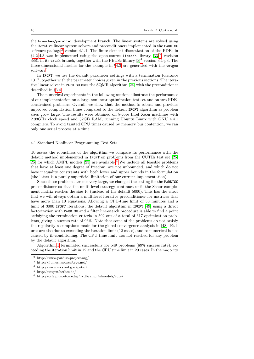the branches/parallel development branch. The linear systems are solved using the iterative linear system solvers and preconditioners implemented in the PARDISO software package<sup>[2](#page-16-0)</sup> version 4.1.1. The finite-element discretization of the PDEs in  $§4.2-4.3$  $§4.2-4.3$  $§4.2-4.3$  was implemented using the open-source libmesh library  $[33]^3$  $[33]^3$  $[33]^3$ , revision 3881 in its trunk branch, together with the PETSc library  $[3]^4$  $[3]^4$  $[3]^4$  version 3.1-p3. The three-dimensional meshes for the example in §[4.3](#page-20-0) are generated with the tetgen software<sup>[5](#page-16-3)</sup>.

In IPOPT, we use the default parameter settings with a termination tolerance 10−<sup>6</sup> , together with the parameter choices given in the previous sections. The iterative linear solver in PARDISO uses the SQMR algorithm [\[24\]](#page-26-19) with the preconditioner described in §[3.4.](#page-14-0)

The numerical experiments in the following sections illustrate the performance of our implementation on a large nonlinear optimization test set and on two PDEconstrained problems. Overall, we show that the method is robust and provides improved computation times compared to the default IPOPT algorithm as problem sizes grow large. The results were obtained on 8-core Intel Xeon machines with 2.33GHz clock speed and 32GB RAM, running Ubuntu Linux with GNU 4.4.1 compilers. To avoid tainted CPU times caused by memory bus contention, we ran only one serial process at a time.

# 4.1 Standard Nonlinear Programming Test Sets

To assess the robustness of the algorithm we compare its performance with the default method implemented in IPOPT on problems from the CUTEr test set [\[25,](#page-26-21)  $26$  $26$ ] for which AMPL models [\[23\]](#page-26-23) are available.<sup>6</sup> We include all feasible problems that have at least one degree of freedom, are not unbounded, and which do not have inequality constraints with both lower and upper bounds in the formulation (the latter is a purely superficial limitation of our current implementation).

Since these problems are not very large, we changed the setting for the PARDISO preconditioner so that the multi-level strategy continues until the Schur complement matrix reaches the size 10 (instead of the default 5000). This has the effect that we will always obtain a multilevel iterative preconditioner for matrices that have more than 10 equations. Allowing a CPU-time limit of 30 minutes and a limit of 3000 IPOPT iterations, the default algorithm in IPOPT [\[49\]](#page-27-2) using a direct factorization with PARDISO and a filter line-search procedure is able to find a point satisfying the termination criteria in 592 out of a total of 617 optimization problems, giving a success rate of 96%. Note that some of the problems do not satisfy the regularity assumptions made for the global convergence analysis in [\[48\]](#page-27-9). Failures are also due to exceeding the iteration limit (12 cases), and to numerical issues caused by ill-conditioning. The CPU time limit was not reached for any problem by the default algorithm.

Algorithm [1](#page-5-1) terminated successfully for 549 problems (89% success rate), exceeding the iteration limit in 12 and the CPU time limit in 20 cases. In the majority

<span id="page-16-0"></span><sup>2</sup> http://www.pardiso-project.org/

<span id="page-16-1"></span><sup>3</sup> http://libmesh.sourceforge.net/

<span id="page-16-2"></span><sup>4</sup> http://www.mcs.anl.gov/petsc/

<span id="page-16-3"></span><sup>5</sup> http://tetgen.berlios.de/

<span id="page-16-4"></span> $6$  http://orfe.princeton.edu/~rvdb/ampl/nlmodels/cute/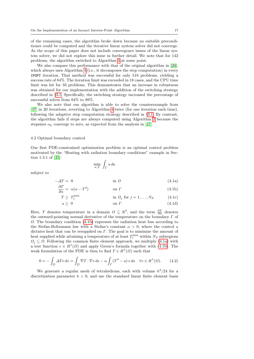of the remaining cases, the algorithm broke down because no suitable preconditioner could be computed and the iterative linear system solver did not converge. As the scope of this paper does not include convergence issues of the linear system solver, we did not explore this issue in further detail. We note that for 142 problems, the algorithm switched to Algorithm [4](#page-11-0) at some point.

We also compare this performance with that of the original algorithm in [\[20\]](#page-26-0), which always uses Algorithm [4](#page-11-0) (i.e., it decomposes the step computation) in every IPOPT iteration. That method was successful for only 518 problems, yielding a success rate of 84%. The iteration limit was exceeded in 18 cases, and the CPU time limit was hit for 33 problems. This demonstrates that an increase in robustness was obtained for our implementation with the addition of the switching strategy described in §[3.1.](#page-11-1) Specifically, the switching strategy increased the percentage of successful solves from 84% to 89%.

We also note that our algorithm is able to solve the counterexample from [\[47\]](#page-27-3) in 20 iterations, reverting to Algorithm [4](#page-11-0) twice (for one iteration each time), following the adaptive step computation strategy described in §[3.1.](#page-11-1) By contrast, the algorithm fails if steps are always computed using Algorithm [2](#page-8-0) because the stepsizes  $\alpha_k$  converge to zero, as expected from the analysis in [\[47\]](#page-27-3).

# <span id="page-17-0"></span>4.2 Optimal boundary control

Our first PDE-constrained optimization problem is an optimal control problem motivated by the "Heating with radiation boundary conditions" example in Section 1.3.1 of [\[45\]](#page-27-10):

<span id="page-17-4"></span><span id="page-17-3"></span><span id="page-17-1"></span>
$$
\min_{u,T} \; \int_T u \, da
$$

subject to

<span id="page-17-2"></span>
$$
-\Delta T = 0 \qquad \qquad \text{in } \Omega \tag{4.1a}
$$

$$
\frac{\partial T}{\partial n} = \alpha (u - T^4) \qquad \text{on } \Gamma \tag{4.1b}
$$

$$
T \ge T_j^{\min} \qquad \qquad \text{in } \Omega_j \text{ for } j = 1, \dots, N_S \qquad (4.1c)
$$

$$
u \geq 0 \qquad \qquad \text{on } \Gamma. \tag{4.1d}
$$

Here, T denotes temperature in a domain  $\Omega \subseteq \mathbb{R}^3$ , and the term  $\frac{\partial T}{\partial n}$  denotes the outward-pointing normal derivative of the temperature on the boundary  $\Gamma$  of Ω. The boundary condition [\(4.1b\)](#page-17-1) expresses the radiation heat loss according to the Stefan-Boltzmann law with a Stefan's constant  $\alpha > 0$ , where the control u dictates heat that can be resupplied on  $\Gamma$ . The goal is to minimize the amount of heat supplied while attaining a temperature of at least  $T_i^{\min}$  within  $N_S$  subregions  $\Omega_i \subseteq \Omega$ . Following the common finite element approach, we multiply [\(4.1a\)](#page-17-2) with a test function  $v \in H^1(\Omega)$  and apply Green's formula together with [\(4.1b\)](#page-17-1). The weak formulation of the PDE is then to find  $T \in H^1(\Omega)$  such that

$$
0 = -\int_{\Omega} \Delta Tv \, dx = \int_{\Omega} \nabla T \cdot \nabla v \, dx - \alpha \int_{\Gamma} (T^4 - u) \, v \, da \quad \forall v \in H^1(\Omega). \tag{4.2}
$$

We generate a regular mesh of tetrahedrons, each with volume  $h^3/24$  for a discretization parameter  $h > 0$ , and use the standard linear finite element basis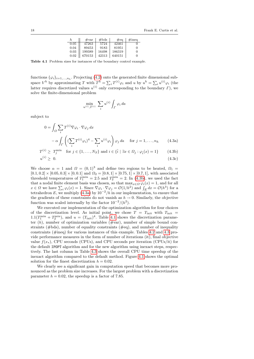<span id="page-18-0"></span>

| h.   | $\#\text{var}$ | #bds  | $\#$ eq | $\#$ ineq |
|------|----------------|-------|---------|-----------|
| 0.05 | 47263          | 5724  | 42461   |           |
| 0.04 | 89453          | 9183  | 81951   | 0         |
| 0.03 | 199389         | 16498 | 186319  | 0         |
| 0.02 | 670153         | 42313 | 640151  | 0         |

Table 4.1 Problem sizes for instances of the boundary control example.

functions  $\{\varphi_i\}_{i=1,\ldots,n_h}$ . Projecting [\(4.2\)](#page-17-1) onto the generated finite dimensional subspace  $V^h$  by approximating T with  $T^h = \sum_i T^{(i)} \varphi_i$  and u by  $u^h = \sum_i u^{(i)} \varphi_i$  (the latter requires discretized values  $u^{(i)}$  only corresponding to the boundary  $\Gamma$ ), we solve the finite-dimensional problem

$$
\min_{u^{(i)}, T^{(i)}} \sum_i u^{(i)} \int_{\Gamma} \varphi_i \, da
$$

subject to

$$
0 = \int_{\Omega} \sum_{i} T^{(i)} \nabla \varphi_{i} \cdot \nabla \varphi_{j} dx
$$

$$
- \alpha \int_{\Gamma} \left( \sum_{i} T^{(i)} \varphi_{i} \right)^{4} - \sum_{i} u^{(i)} \varphi_{i} \right) \varphi_{j} da \quad \text{for } j = 1, ..., n_{h} \qquad (4.3a)
$$

$$
T^{(i)} \geq T_j^{\min} \quad \text{for } j \in \{1, \dots, N_S\} \text{ and } i \in \{\hat{i} \mid \exists x \in \Omega_j : \varphi_i(x) = 1\} \tag{4.3b}
$$

$$
u^{(i)} \geq 0. \tag{4.3c}
$$

We choose  $\alpha = 1$  and  $\Omega = (0,1)^3$  and define two regions to be heated,  $\Omega_1 =$  $[0.1, 0.2] \times [0.05, 0.3] \times [0, 0.1]$  and  $\Omega_2 = [0.8, 1] \times [0.75, 1] \times [0.7, 1]$ , with associated threshold temperatures of  $T_1^{\text{min}} = 2.5$  and  $T_2^{\text{min}} = 2$ . In [\(4.3b\)](#page-17-1), we used the fact that a nodal finite element basis was chosen, so that  $\max_{x \in \Omega} \varphi_i(x) = 1$ , and for all  $x \in \Omega$  we have  $\sum_i \varphi_i(x) = 1$ . Since  $\nabla \varphi_i \cdot \nabla \varphi_j = \mathcal{O}(1/h^2)$  and  $\int_E dx = \mathcal{O}(h^3)$  for a tetrahedron E, we multiply [\(4.3a\)](#page-17-2) by  $10^{-2}/h$  in our implementation, to ensure that the gradients of these constraints do not vanish as  $h \to 0$ . Similarly, the objective function was scaled internally by the factor  $10^{-2}/(h^2)$ .

We executed our implementation of the optimization algorithm for four choices of the discretization level. As initial point, we chose  $T = T_{\text{init}}$  with  $T_{\text{init}} =$  $1.1(T_1^{\text{min}} + T_2^{\text{min}})$ , and  $u = (T_{\text{init}})^4$ . Table [4.1](#page-18-0) shows the discretization parameter  $(h)$ , number of optimization variables  $(\text{#var})$ , number of simple bound constraints ( $\#bds$ ), number of equality constraints ( $\#eq$ ), and number of inequality constraints ( $\#$ ineq) for various instances of this example. Tables [4.2](#page-19-0) and [4.3](#page-19-1) provide performance measures in the form of number of iterations (it), final objective value  $f(x_*)$ , CPU seconds (CPUs), and CPU seconds per iteration (CPUs/it) for the default IPOPT algorithm and for the new algorithm using inexact steps, respectively. The last column in Table [4.3](#page-19-1) shows the overall CPU time speedup of the inexact algorithm compared to the default method. Figure [4.1](#page-19-2) shows the optimal solution for the finest discretization  $h = 0.02$ .

We clearly see a significant gain in computation speed that becomes more pronounced as the problem size increases. For the largest problem with a discretization parameter  $h = 0.02$ , the speedup is a factor of 7.85.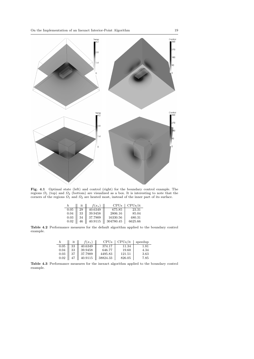

Fig. 4.1 Optimal state (left) and control (right) for the boundary control example. The regions  $\Omega_1$  (top) and  $\Omega_2$  (bottom) are visualized as a box. It is interesting to note that the corners of the regions  $\Omega_1$  and  $\Omega_2$  are heated most, instead of the inner part of its surface.

<span id="page-19-2"></span><span id="page-19-0"></span>

|          | it | $f(x_{*})$ | <b>CPUs</b> | CPUs/it |
|----------|----|------------|-------------|---------|
| 0.05     | 29 | 40.6349    | 675.85      | 23.31   |
| 0.04     | 33 | 39.9458    | 2806.16     | 85.04   |
| $0.03\,$ | 34 | 37.7909    | 16330.56    | 480.31  |
| 0.02     |    | 40.9115    | 304780.45   | 6625.66 |

Table 4.2 Performance measures for the default algorithm applied to the boundary control example.

<span id="page-19-1"></span>

|      | it | $(x_{*})$ | CPUs     | CPUs/it | speedup   |
|------|----|-----------|----------|---------|-----------|
| 0.05 | 33 | 40.6349   | 374.17   | 11.34   | $_{1.81}$ |
| 0.04 | 33 | 39.9458   | 646.77   | 19.60   | 4.34      |
| 0.03 |    | 37.7909   | 4495.83  | 121.51  | 3.63      |
| 0.02 |    | 40.9115   | 38824.33 | 826.05  | 7.85      |

Table 4.3 Performance measures for the inexact algorithm applied to the boundary control example.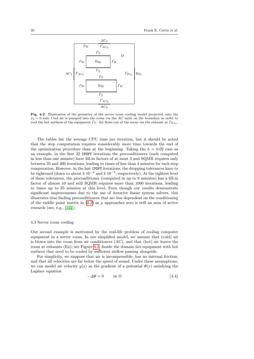<span id="page-20-1"></span>

Fig. 4.2 Illustration of the geometry of the server room cooling model projected onto the  $x_3 = 0$  axis. Cool air is pumped into the room via the AC units on the boundary in order to cool the hot surfaces of the equipment  $\varGamma_T$ . Air flows out of the room via the exhaust at  $\varGamma_{Ex_1}$ .

The tables list the average CPU time per iteration, but it should be noted that the step computation requires considerably more time towards the end of the optimization procedure than at the beginning. Taking the  $h = 0.02$  case as an example, in the first 22 IPOPT iterations the preconditioners (each computed in less than one minute) have fill-in factors of at most 3 and SQMR requires only between 35 and 200 iterations, leading to times of less than 4 minutes for each step computation. However, in the last IPOPT iterations, the dropping tolerances have to be tightened (down to about  $3 \cdot 10^{-4}$  and  $3 \cdot 10^{-5}$ , respectively). At the tightest level of these tolerances, the preconditioner (computed in up to 9 minutes) has a fill-in factor of almost 10 and still SQMR requires more than 1000 iterations, leading to times up to 35 minutes at this level. Even though our results demonstrate significant improvements due to the use of iterative linear system solvers, this illustrates that finding preconditioners that are less dependent on the conditioning of the saddle point matrix in  $(2.2)$  as  $\mu$  approaches zero is still an area of active research (see, e.g.,  $[1,4]$  $[1,4]$ ).

# <span id="page-20-0"></span>4.3 Server room cooling

Our second example is motivated by the real-life problem of cooling computer equipment in a server room. In our simplified model, we assume that (cold) air is blown into the room from air conditioners (AC), and that (hot) air leaves the room at exhausts (Ex); see Figure [4.2.](#page-20-1) Inside the domain lies equipment with hot surfaces that need to be cooled by sufficient airflow passing alongside.

For simplicity, we suppose that air is incompressible, has no internal friction, and that all velocities are far below the speed of sound. Under these assumptions, we can model air velocity  $y(x)$  as the gradient of a potential  $\Phi(x)$  satisfying the Laplace equation

$$
-\Delta \Phi = 0 \qquad \text{in } \Omega \tag{4.4}
$$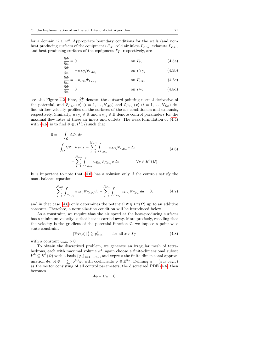for a domain  $\Omega \subseteq \mathbb{R}^3$ . Appropriate boundary conditions for the walls (and nonheat producing surfaces of the equipment)  $\Gamma_W$ , cold air inlets  $\Gamma_{AC_i}$ , exhausts  $\Gamma_{Ex_i}$ , and heat producing surfaces of the equipment  $\Gamma_T$ , respectively, are

<span id="page-21-0"></span>
$$
\frac{\partial \Phi}{\partial n} = 0 \qquad \qquad \text{on } \Gamma_W \tag{4.5a}
$$

$$
\frac{\partial \Phi}{\partial n} = -u_{AC_i} \Psi_{T_{AC_i}} \qquad \qquad \text{on } \Gamma_{AC_i} \tag{4.5b}
$$

$$
\frac{\partial \Phi}{\partial n} = +u_{Ex_i} \Psi_{T_{Ex_i}} \qquad \qquad \text{on } \Gamma_{Ex_i} \tag{4.5c}
$$

<span id="page-21-1"></span>
$$
\frac{\partial \Phi}{\partial n} = 0 \qquad \text{on } \Gamma_T; \tag{4.5d}
$$

see also Figure [4.2.](#page-20-1) Here,  $\frac{\partial \Phi}{\partial n}$  denotes the outward-pointing normal derivative of the potential, and  $\Psi_{\Gamma_{AC_i}}(x)$   $(i = 1, ..., N_{AC})$  and  $\Psi_{\Gamma_{Ex_i}}(x)$   $(i = 1, ..., N_{Ex})$  define airflow velocity profiles on the surfaces of the air conditioners and exhausts, respectively. Similarly,  $u_{AC_i} \in \mathbb{R}$  and  $u_{Ex_i} \in \mathbb{R}$  denote control parameters for the maximal flow rates at these air inlets and outlets. The weak formulation of [\(4.4\)](#page-17-3) with [\(4.5\)](#page-21-0) is to find  $\Phi \in H^1(\Omega)$  such that

$$
0 = -\int_{\Omega} \Delta \Phi v \, dx
$$
  
= 
$$
\int_{\Omega} \nabla \Phi \cdot \nabla v \, dx + \sum_{i=1}^{N_{AC}} \int_{\Gamma_{AC_{i}}} u_{AC_{i}} \Psi_{\Gamma_{AC_{i}}} v \, da
$$
  

$$
- \sum_{i=1}^{N_{Ex}} \int_{\Gamma_{Ex_{i}}} u_{Ex_{i}} \Psi_{\Gamma_{Ex_{i}}} v \, da \qquad \forall v \in H^{1}(\Omega).
$$
 (4.6)

It is important to note that [\(4.6\)](#page-21-1) has a solution only if the controls satisfy the mass balance equation

<span id="page-21-2"></span>
$$
\sum_{i=1}^{N_{AC}} \int_{\Gamma_{AC_i}} u_{AC_i} \Psi_{\Gamma_{AC_i}} da - \sum_{i=1}^{N_{Ex}} \int_{\Gamma_{Ex_i}} u_{Ex_i} \Psi_{\Gamma_{Ex_i}} da = 0, \tag{4.7}
$$

and in that case [\(4.6\)](#page-21-1) only determines the potential  $\Phi \in H^1(\Omega)$  up to an additive constant. Therefore, a normalization condition will be introduced below.

As a constraint, we require that the air speed at the heat-producing surfaces has a minimum velocity so that heat is carried away. More precisely, recalling that the velocity is the gradient of the potential function  $\Phi$ , we impose a point-wise state constraint

<span id="page-21-3"></span>
$$
\|\nabla\Phi(x)\|_2^2 \ge y_{\min}^2 \qquad \text{for all } x \in \varGamma_T \tag{4.8}
$$

with a constant  $y_{\text{min}} > 0$ .

To obtain the discretized problem, we generate an irregular mesh of tetrahedrons, each with maximal volume  $h^3$ , again choose a finite-dimensional subset  $V^h \subseteq H^1(\Omega)$  with a basis  $\{\varphi_i\}_{i=1,\ldots,n_h}$ , and express the finite-dimensional approximation  $\Phi_h$  of  $\Phi = \sum_i \phi^{(i)} \varphi_i$  with coefficients  $\phi \in \mathbb{R}^{n_h}$ . Defining  $u = (u_{AC}, u_{Ex})$ as the vector consisting of all control parameters, the discretized PDE [\(4.6\)](#page-21-1) then becomes

$$
A\phi - Bu = 0,
$$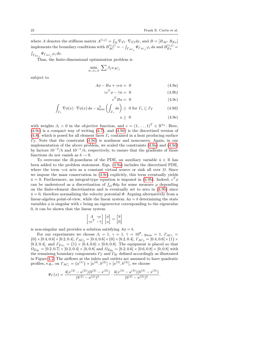where A denotes the stiffness matrix  $A^{(i,j)} = \int_{\Omega} \nabla \varphi_i \cdot \nabla \varphi_j dx$ , and  $B = [B_{AC} B_{Ex}]$ implements the boundary conditions with  $B_{AC}^{(i,j)} = -\int_{\Gamma_{AC_j}} \Psi_{\Gamma_{AC_j}} \varphi_i da$  and  $B_{Ex}^{(i,j)} =$  $\int_{\Gamma_{Ex_j}} \Psi_{\Gamma_{AC_j}} \varphi_i da.$ 

Thus, the finite-dimensional optimization problem is

$$
\min_{\phi_i, u_i, \bar{u}} \sum \beta_j u_{AC_j}
$$

subject to

$$
A\phi - Bu + \gamma e\bar{u} = 0 \tag{4.9a}
$$

$$
\gamma e^T \phi - \bar{\gamma} \bar{u} = 0 \tag{4.9b}
$$

$$
e^T B u = 0 \tag{4.9c}
$$

$$
\int_{\Gamma_e} \nabla \phi(x) \cdot \nabla \phi(x) \, da - y_{\min}^2 \left( \int_{\Gamma_e} da \right) \geq 0 \text{ for } \Gamma_e \subseteq \Gamma_T \tag{4.9d}
$$

$$
u \geq 0 \tag{4.9e}
$$

with weights  $\beta_i > 0$  in the objective function, and  $e = (1, \ldots, 1)^T \in \mathbb{R}^{n_h}$ . Here, [\(4.9c\)](#page-17-4) is a compact way of writing [\(4.7\)](#page-21-2), and [\(4.9d\)](#page-17-3) is the discretized version of [\(4.8\)](#page-21-3), which is posed for all element faces  $\Gamma_e$  contained in a heat producing surface  $\Gamma$ <sub>T</sub>. Note that the constraint [\(4.9d\)](#page-17-3) is nonlinear and nonconvex. Again, in our implementation of the above problem, we scaled the constraints [\(4.9a\)](#page-17-2) and [\(4.9d\)](#page-17-3) by factors  $10^{-2}/h$  and  $10^{-1}/h$ , respectively, to ensure that the gradients of those functions do not vanish as  $h \to 0$ .

To overcome the ill-posedness of the PDE, an auxiliary variable  $\bar{u} \in \mathbb{R}$  has been added to the problem statement. Eqn. [\(4.9a\)](#page-17-2) includes the discretized PDE, where the term  $\gamma e\bar{u}$  acts as a constant virtual source or sink all over  $\Omega$ . Since we impose the mass conservation in [\(4.9c\)](#page-17-4) explicitly, this term eventually yields  $\bar{u} = 0$ . Furthermore, an integral-type equation is imposed in [\(4.9b\)](#page-17-1). Indeed,  $e^T \phi$ can be understood as a discretization of  $\int_{\Omega} \Phi d\mu$  for some measure  $\mu$  depending on the finite-element discretization and is eventually set to zero in [\(4.9b\)](#page-17-1) since  $\bar{u} = 0$ , therefore normalizing the velocity potential  $\Phi$ . Arguing alternatively from a linear-algebra point-of-view, while the linear system  $A\phi = b$  determining the state variables  $\phi$  is singular with e being an eigenvector corresponding to the eigenvalue 0, it can be shown that the linear system

$$
\begin{bmatrix} A & \gamma e \\ \gamma e^T & -\bar{\gamma} \end{bmatrix} \begin{bmatrix} \phi \\ u \end{bmatrix} = \begin{bmatrix} b \\ 0 \end{bmatrix}
$$

is non-singular and provides a solution satisfying  $A\phi = b$ .

For our experiments we choose  $\beta_i = 1, \gamma = 1, \bar{\gamma} = 10^8, y_{\text{min}} = 1, \Gamma_{AC_1} =$  $\{0\}\times[0.4, 0.6]\times[0.2, 0.4],\, F_{AC_2}=[0.4, 0.6]\times\{0\}\times[0.2, 0.4],\, F_{AC_3}=[0.4, 0.6]\times\{1\}\times$ [0.2, 0.4], and  $\Gamma_{Ex_1} = \{1\} \times [0.4, 0.6] \times [0.6, 0.8]$ . The equipment is placed so that  $\Omega_{Eq_1} = [0.2, 0.7] \times [0.2, 0.4] \times [0, 0.8]$  and  $\Omega_{Eq_2} = [0.2, 0.6] \times [0.6, 0.8] \times [0, 0.8]$  with the remaining boundary components  $\Gamma_T$  and  $\Gamma_W$  defined accordingly as illustrated in Figure [4.2.](#page-20-1) The airflows at the inlets and outlets are assumed to have quadratic profiles, e.g., on  $\Gamma_{AC_i} = \{a^{(1)}\} \times [a^{(2)}, b^{(2)}] \times [a^{(3)}, b^{(3)}]$ , we choose

$$
\Psi_{\Gamma}(x) = \frac{4(x^{(2)} - a^{(2)})(b^{(2)} - x^{(2)})}{(b^{(2)} - a^{(2)})^2} \cdot \frac{4(x^{(3)} - a^{(3)})(b^{(3)} - x^{(3)})}{(b^{(3)} - a^{(3)})^2}.
$$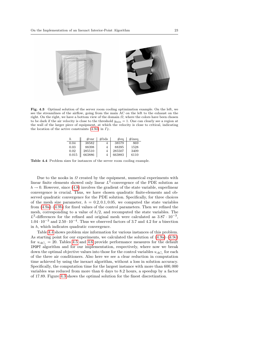

<span id="page-23-1"></span>Fig. 4.3 Optimal solution of the server room cooling optimization example. On the left, we see the streamlines of the airflow, going from the main AC on the left to the exhaust on the right. On the right, we have a bottom view of the domain  $\Omega$ , where the colors have been chosen to be dark if the air velocity is close to the threshold  $y_{\text{min}} = 1$ . One can clearly see a region at the wall of the larger piece of equipment, at which the velocity is close to critical, indicating the location of the active constraints [\(4.9d\)](#page-17-3) in  $\varGamma_T$ .

<span id="page-23-0"></span>

| h.    | $\#\text{var}$ | #bds | $\#\text{eq}$ | $\#$ ineq |
|-------|----------------|------|---------------|-----------|
| 0.04  | 38582          |      | 38579         | 869       |
| 0.03  | 88398          | 4    | 88395         | 1528      |
| 0.02  | 285510         | 4    | 285507        | 3409      |
| 0.015 | 663886         |      | 663883        | 6110      |

Table 4.4 Problem sizes for instances of the server room cooling example.

Due to the nooks in  $\Omega$  created by the equipment, numerical experiments with linear finite elements showed only linear  $L^2$ -convergence of the PDE solution as  $h \to 0$ . However, since [\(4.8\)](#page-21-3) involves the gradient of the state variable, superlinear convergence is crucial. Thus, we have chosen quadratic finite-elements and observed quadratic convergence for the PDE solution. Specifically, for three choices of the mesh size parameter,  $h = 0.2, 0.1, 0.05$ , we computed the state variables from [\(4.9a\)](#page-17-2)–[\(4.9b\)](#page-17-1) for fixed values of the control parameters. Then we refined the mesh, corresponding to a value of  $h/2$ , and recomputed the state variables. The  $L^2$ -differences for the refined and original mesh were calculated as 3.87 · 10<sup>-3</sup>, 1.04 $\cdot$  10<sup>-3</sup> and 2.50 $\cdot$  10<sup>-4</sup>. Thus we observed factors of 3.7 and 4.2 for a bisection in h, which indicates quadratic convergence.

Table [4.4](#page-23-0) shows problem size information for various instances of this problem. As starting point for our experiments, we calculated the solution of [\(4.9a\)](#page-17-2)–[\(4.9c\)](#page-17-4) for  $u_{AC_i} = 20$ . Tables [4.5](#page-24-1) and [4.6](#page-24-2) provide performance measures for the default IPOPT algorithm and for our implementation, respectively, where now we break down the optimal objective values into those for the control variables  $u_{AC_i}$  for each of the three air conditioners. Also here we see a clear reduction in computation time achieved by using the inexact algorithm, without a loss in solution accuracy. Specifically, the computation time for the largest instance with more than 600, 000 variables was reduced from more than 6 days to 8.2 hours, a speedup by a factor of 17.89. Figure [4.3](#page-23-1) shows the optimal solution for the finest discretization.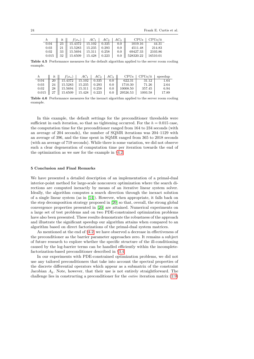24 Frank E. Curtis et al.

<span id="page-24-2"></span><span id="page-24-1"></span>

|  |                                           |  |         | $\parallel$ it $\parallel$ $f(x_*)$ $\parallel$ $AC_1$ $\parallel$ $AC_2$ $\parallel$ $AC_3$ $\parallel$ CPUs $\parallel$ CPUs/it |         |
|--|-------------------------------------------|--|---------|-----------------------------------------------------------------------------------------------------------------------------------|---------|
|  | $0.04$   23   15.4372   15.102   0.335    |  | $0.0$   | $1019.16$                                                                                                                         | 44.31   |
|  | $0.03$    21    15.5283   15.235   0.293  |  |         | $0.0 \parallel 4511.48 \parallel$                                                                                                 | 214.83  |
|  | $0.02$    33    15.5694   15.311   0.258  |  | $0.0$   | 69427.33                                                                                                                          | 2103.86 |
|  | $0.015$    32    15.6509   15.428   0.223 |  | $0.0\,$ | $\parallel$ 528320.22   16510.01                                                                                                  |         |

Table 4.5 Performance measures for the default algorithm applied to the server room cooling example.

| h |                                                                                                                                |  | $\parallel$ it $\parallel f(x_*) \parallel AC_1 \parallel AC_2 \parallel AC_3 \parallel$ CPUs   CPUs/it   speedup |        |      |
|---|--------------------------------------------------------------------------------------------------------------------------------|--|-------------------------------------------------------------------------------------------------------------------|--------|------|
|   |                                                                                                                                |  |                                                                                                                   |        | 1.64 |
|   | $\begin{array}{ c c c c c c c c c } \hline 0.03 & \  & 24 & \  & 15.5283 & \  & 15.235 & \  & 0.293 & \  \ \hline \end{array}$ |  | $0.0$    1710.30   71.26                                                                                          |        | 2.64 |
|   |                                                                                                                                |  | $0.02$    28    15.5694   15.311   0.258   0.0    10008.50                                                        | 357.45 | 6.94 |
|   |                                                                                                                                |  | $0.015$    27    15.6509   15.428   0.223   0.0    29526.53   1093.58   17.89                                     |        |      |

Table 4.6 Performance measures for the inexact algorithm applied to the server room cooling example.

In this example, the default settings for the preconditioner thresholds were sufficient in each iteration, so that no tightening occurred. For the  $h = 0.015$  case, the computation time for the preconditioner ranged from 164 to 234 seconds (with an average of 204 seconds), the number of SQMR iterations was 204–1129 with an average of 396, and the time spent in SQMR ranged from 365 to 2018 seconds (with an average of 719 seconds). While there is some variation, we did not observe such a clear degeneration of computation time per iteration towards the end of the optimization as we saw for the example in §[4.2.](#page-17-0)

### <span id="page-24-0"></span>5 Conclusion and Final Remarks

We have presented a detailed description of an implementation of a primal-dual interior-point method for large-scale nonconvex optimization where the search directions are computed inexactly by means of an iterative linear system solver. Ideally, the algorithm computes a search direction through the inexact solution of a single linear system (as in [\[14\]](#page-25-9)). However, when appropriate, it falls back on the step decomposition strategy proposed in [\[20\]](#page-26-0) so that, overall, the strong global convergence properties presented in [\[20\]](#page-26-0) are attained. Numerical experiments on a large set of test problems and on two PDE-constrained optimization problems have also been presented. These results demonstrate the robustness of the approach and illustrate the significant speedup our algorithm attains when compared to an algorithm based on direct factorizations of the primal-dual system matrices.

As mentioned at the end of §[4.2,](#page-17-0) we have observed a decrease in effectiveness of the preconditioner as the barrier parameter approaches zero. It remains a subject of future research to explore whether the specific structure of the ill-conditioning caused by the log-barrier terms can be handled efficiently within the incompletefactorization-based preconditioner described in §[3.4.](#page-14-0)

In our experiments with PDE-constrained optimization problems, we did not use any tailored preconditioners that take into account the spectral properties of the discrete differential operators which appear as a submatrix of the constraint Jacobian  $A_k$ . Note, however, that their use is not entirely straightforward. The challenge lies in constructing a preconditioner for the entire iteration matrix [\(2.9\)](#page-6-1)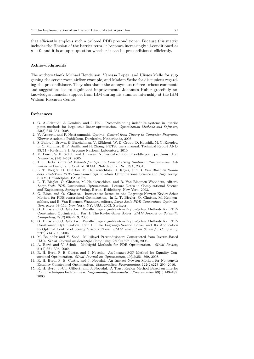that efficiently employs such a tailored PDE preconditioner. Because this matrix includes the Hessian of the barrier term, it becomes increasingly ill-conditioned as  $\mu \rightarrow 0$ , and it is an open question whether it can be preconditioned efficiently.

#### Acknowledgments

The authors thank Michael Henderson, Vanessa Lopez, and Ulisses Mello for suggesting the server room airflow example, and Madam Sathe for discussions regarding the preconditioner. They also thank the anonymous referees whose comments and suggestions led to significant improvements. Johannes Huber gratefully acknowledges financial support from IBM during his summer internship at the IBM Watson Research Center.

### References

- <span id="page-25-13"></span>1. G. Al-Jeiroudi, J. Gondzio, and J. Hall. Preconditioning indefinite systems in interior point methods for large scale linear optimisation. Optimization Methods and Software, 23(3):345–364, 2008.
- <span id="page-25-3"></span>2. V. Arnautu and P. Neittaanmaki. Optimal Control from Theory to Computer Programs. Kluwer Academic Publishers, Dordrecht, Netherlands, 2003.
- <span id="page-25-12"></span>3. S. Balay, J. Brown, K. Buschelman, V. Eijkhout, W. D. Gropp, D. Kaushik, M. G. Knepley, L. C. McInnes, B. F. Smith, and H. Zhang. PETSc users manual. Technical Report ANL-95/11 - Revision 3.1, Argonne National Laboratory, 2010.
- <span id="page-25-14"></span>4. M. Benzi, G. H. Golub, and J. Liesen. Numerical solution of saddle point problems. Acta Numerica, (14):1–137, 2005.
- <span id="page-25-4"></span>5. J. T. Betts. Practical Methods for Optimal Control Using Nonlinear Programming. Advances in Design and Control. SIAM, Philadelphia, PA, USA, 2001.
- <span id="page-25-0"></span>6. L. T. Biegler, O. Ghattas, M. Heinkenschloss, D. Keyes, and B. Van Bloemen Waanders. Real-Time PDE-Constrained Optimization. Computational Science and Engineering. SIAM, Philadelphia, PA, 2007.
- <span id="page-25-1"></span>7. L. T. Biegler, O. Ghattas, M. Heinkenschloss, and B. Van Bloemen Waanders, editors. Large-Scale PDE-Constrained Optimization. Lecture Notes in Computational Science and Engineering. Springer-Verlag, Berlin, Heidelberg, New York, 2003.
- <span id="page-25-5"></span>8. G. Biros and O. Ghattas. Inexactness Issues in the Lagrange-Newton-Krylov-Schur Method for PDE-constrained Optimization. In L. T. Biegler, O. Ghattas, M. Heinkenschloss, and B. Van Bloemen Waanders, editors, Large-Scale PDE-Constrained Optimization, pages 93–114, New York, NY, USA, 2003. Springer.
- <span id="page-25-6"></span>9. G. Biros and O. Ghattas. Parallel Lagrange-Newton-Krylov-Schur Methods for PDE-Constrained Optimization. Part I: The Krylov-Schur Solver. SIAM Journal on Scientific Computing, 27(2):687–713, 2005.
- <span id="page-25-7"></span>10. G. Biros and O. Ghattas. Parallel Lagrange-Newton-Krylov-Schur Methods for PDE-Constrained Optimization. Part II: The Lagrange-Newton Solver and Its Application to Optimal Control of Steady Viscous Flows. SIAM Journal on Scientific Computing, 27(2):714–739, 2005.
- <span id="page-25-11"></span>11. M. Bollhöfer and Y. Saad. Multilevel Preconditioners Constructed from Inverse-Based ILUs. SIAM Journal on Scientific Computing, 27(5):1627–1650, 2006.
- <span id="page-25-2"></span>12. A. Borzi and V. Schulz. Multigrid Methods for PDE Optimization. SIAM Review, 51(2):361–395, 2009.
- <span id="page-25-8"></span>13. R. H. Byrd, F. E. Curtis, and J. Nocedal. An Inexact SQP Method for Equality Constrained Optimization. SIAM Journal on Optimization, 19(1):351–369, 2008.
- <span id="page-25-9"></span>14. R. H. Byrd, F. E. Curtis, and J. Nocedal. An Inexact Newton Method for Nonconvex Equality Constrained Optimization. Mathematical Programming, 122(2):273–299, 2010.
- <span id="page-25-10"></span>15. R. H. Byrd, J.-Ch. Gilbert, and J. Nocedal. A Trust Region Method Based on Interior Point Techniques for Nonlinear Programming. Mathematical Programming, 89(1):149–185, 2000.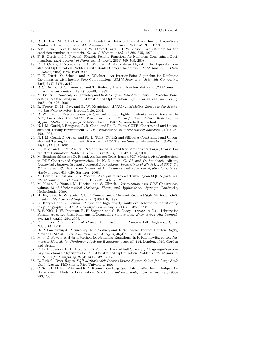- <span id="page-26-14"></span>16. R. H. Byrd, M. E. Hribar, and J. Nocedal. An Interior Point Algorithm for Large-Scale Nonlinear Programming. SIAM Journal on Optimization, 9(4):877–900, 1999.
- <span id="page-26-18"></span>17. A.K. Cline, Cleve B. Moler, G.W. Stewart, and J.H. Wilkinson. An estimate for the condition number of a matrix. SIAM J. Numer. Anal., 16:368–375, 1979.
- <span id="page-26-15"></span>18. F. E. Curtis and J. Nocedal. Flexible Penalty Functions for Nonlinear Constrained Optimization. IMA Journal of Numerical Analysis, 28(4):749–769, 2008.
- <span id="page-26-10"></span>19. F. E. Curtis, J. Nocedal, and A. W¨achter. A Matrix-Free Algorithm for Equality Constrained Optimization Problems with Rank Deficient Jacobians. SIAM Journal on Optimization, 20(3):1224–1249, 2009.
- <span id="page-26-0"></span>20. F. E. Curtis, O. Schenk, and A. W¨achter. An Interior-Point Algorithm for Nonlinear Optimization with Inexact Step Computations. SIAM Journal on Scientific Computing, 32(6):3447–3475, 2010.
- <span id="page-26-11"></span>21. R. S. Dembo, S. C. Eisenstat, and T. Steihaug. Inexact Newton Methods. SIAM Journal on Numerical Analysis, 19(2):400–408, 1982.
- <span id="page-26-2"></span>22. M. Fisher, J. Nocedal, Y. Trémolet, and S. J. Wright. Data Assimilation in Weather Forecasting: A Case Study in PDE-Constrained Optimization. Optimization and Engineering, 10(3):409–426, 2009.
- <span id="page-26-23"></span>23. R. Fourer, D. M. Gay, and B. W. Kernighan. AMPL: A Modeling Language for Mathematical Programming. Brooks/Cole, 2002.
- <span id="page-26-19"></span>24. R. W. Freund. Preconditioning of Symmetric, but Highly Indefinite Linear Systems. In A. Sydow, editor, 15th IMACS World Congress on Scientific Computation, Modelling and Applied Mathematics, pages 551–556, Berlin, 1997. Wissenschaft & Technik.
- <span id="page-26-21"></span>25. N. I. M. Gould, I. Bongartz, A. R. Conn, and Ph. L. Toint. CUTE: Constrained and Unconstrained Testing Environment. ACM Transactions on Mathematical Software, 21(1):123– 160, 1995.
- <span id="page-26-22"></span>26. N. I. M. Gould, D. Orban, and Ph. L. Toint. CUTEr and SifDec: A Constrained and Unconstrained Testing Environment, Revisited. ACM Transactions on Mathematical Software, 29(4):373–394, 2003.
- <span id="page-26-8"></span>27. E. Haber and U. M. Ascher. Preconditioned All-at-Once Methods for Large, Sparse Parameter Estimation Problems. Inverse Problems, 17:1847–1864, 2001.
- <span id="page-26-4"></span>28. M. Heinkenschloss and D. Ridzal. An Inexact Trust-Region SQP Method with Applications to PDE-Constrained Optimization. In K. Kunisch, G. Of, and O. Steinbach, editors, Numerical Mathematics and Advanced Applications: Proceedings of ENUMATH 2007, the 7th European Conference on Numerical Mathematics and Advanced Applications, Graz, Austria, pages 613–620. Springer, 2008.
- <span id="page-26-5"></span>29. M. Heinkenschloss and L. N. Vicente. Analysis of Inexact Trust-Region SQP Algorithms. SIAM Journal on Optimization, 12(2):283–302, 2002.
- <span id="page-26-1"></span>30. M. Hinze, R. Pinnau, M. Ulbrich, and S. Ulbrich. Optimization with PDE Constraints, volume 23 of Mathematical Modeling: Theory and Applications. Springer, Dordrecht, Netherlands, 2009.
- <span id="page-26-6"></span>31. H. Jäger and E. W. Sachs. Global Convergence of Inexact Reduced SQP Methods. Optimization Methods and Software, 7(2):83–110, 1997.
- <span id="page-26-17"></span>32. G. Karypis and V. Kumar. A fast and high quality multilevel scheme for partitioning irregular graphs. SIAM J. Scientific Computing, 20(1):359–392, 1998.
- <span id="page-26-20"></span>33. B. S. Kirk, J. W. Peterson, R. H. Stogner, and G. F. Carey. libMesh: A C++ Library for Parallel Adaptive Mesh Refinement/Coarsening Simulations. Engineering with Computers, 22(3–4):237–254, 2006.
- <span id="page-26-3"></span>34. D. E. Kirk. Optimal Control Theory: An Introduction. Prentice-Hall, Englewood Cliffs, NJ, USA, 1970.
- <span id="page-26-12"></span>35. R. P. Pawlowski, J. P. Simonis, H. F. Walker, and J. N. Shadid. Inexact Newton Dogleg Methods. SIAM Journal on Numerical Analysis, 46(4):2112–2132, 2008.
- <span id="page-26-13"></span>36. M. J. D. Powell. A Hybrid Method for Nonlinear Equations. In P. Rabinowitz, editor, Numerical Methods for Nonlinear Algebraic Equations, pages 87–114, London, 1970. Gordon and Breach.
- <span id="page-26-9"></span>37. E. E. Prudencio, R. H. Byrd, and X.-C. Cai. Parallel Full Space SQP Lagrange-Newton-Krylov-Schwarz Algorithms for PDE-Constrained Optimization Problems. SIAM Journal on Scientific Computing, 27(4):1305–1328, 2005.
- <span id="page-26-7"></span>38. D. Ridzal. Trust-Region SQP Methods with Inexact Linear System Solves for Large-Scale Optimization. PhD thesis, Rice University, 2006.
- <span id="page-26-16"></span>39. O. Schenk, M. Bollhöfer, and R. A. Roemer. On Large Scale Diagonalization Techniques for the Anderson Model of Localization. SIAM Journal on Scientific Computing, 28(3):963– 983, 2006.